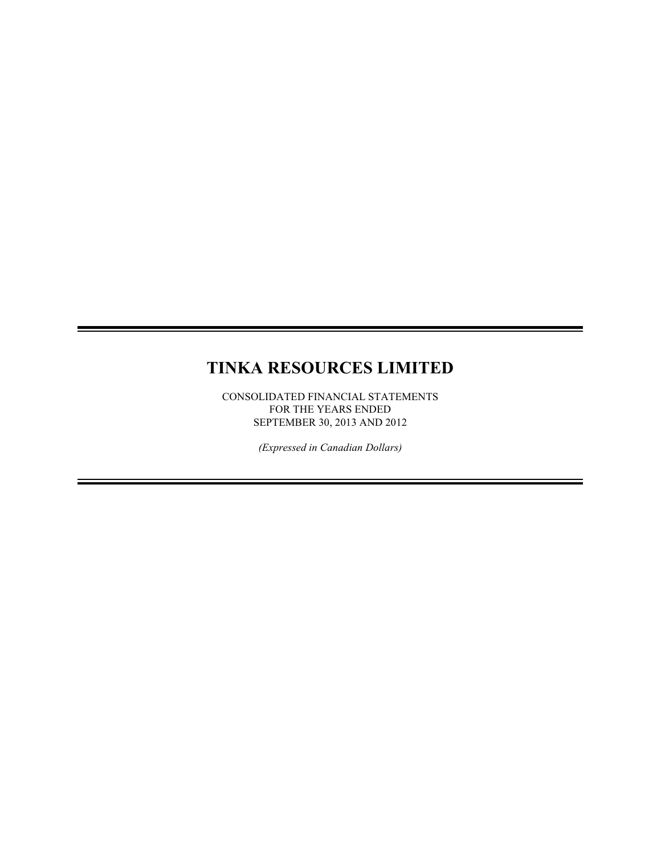# **TINKA RESOURCES LIMITED**

CONSOLIDATED FINANCIAL STATEMENTS FOR THE YEARS ENDED SEPTEMBER 30, 2013 AND 2012

*(Expressed in Canadian Dollars)*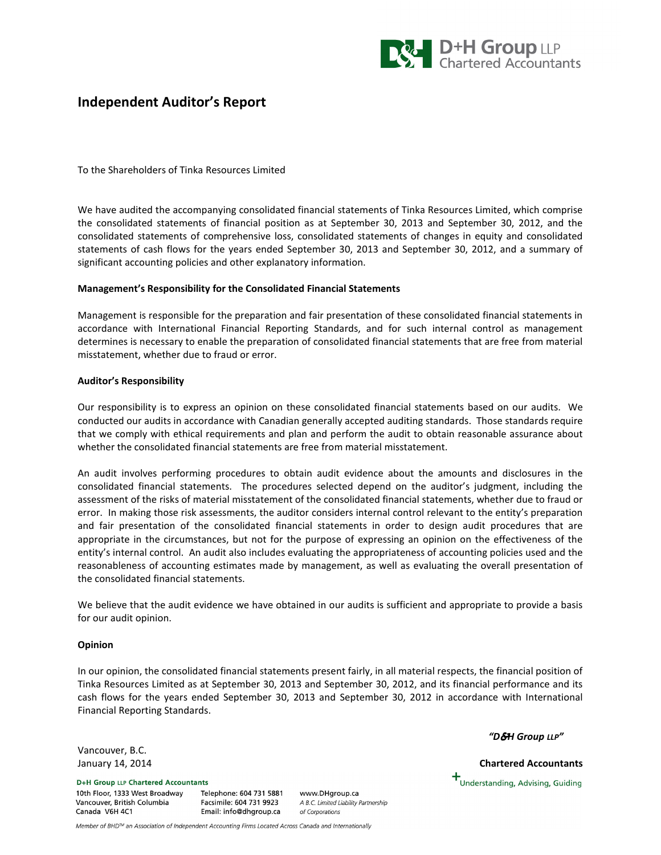

# Independent Auditor's Report

To the Shareholders of Tinka Resources Limited

We have audited the accompanying consolidated financial statements of Tinka Resources Limited, which comprise the consolidated statements of financial position as at September 30, 2013 and September 30, 2012, and the consolidated statements of comprehensive loss, consolidated statements of changes in equity and consolidated statements of cash flows for the years ended September 30, 2013 and September 30, 2012, and a summary of significant accounting policies and other explanatory information.

# Management's Responsibility for the Consolidated Financial Statements

Management is responsible for the preparation and fair presentation of these consolidated financial statements in accordance with International Financial Reporting Standards, and for such internal control as management determines is necessary to enable the preparation of consolidated financial statements that are free from material misstatement, whether due to fraud or error.

# Auditor's Responsibility

Our responsibility is to express an opinion on these consolidated financial statements based on our audits. We conducted our audits in accordance with Canadian generally accepted auditing standards. Those standards require that we comply with ethical requirements and plan and perform the audit to obtain reasonable assurance about whether the consolidated financial statements are free from material misstatement.

An audit involves performing procedures to obtain audit evidence about the amounts and disclosures in the consolidated financial statements. The procedures selected depend on the auditor's judgment, including the assessment of the risks of material misstatement of the consolidated financial statements, whether due to fraud or error. In making those risk assessments, the auditor considers internal control relevant to the entity's preparation and fair presentation of the consolidated financial statements in order to design audit procedures that are appropriate in the circumstances, but not for the purpose of expressing an opinion on the effectiveness of the entity's internal control. An audit also includes evaluating the appropriateness of accounting policies used and the reasonableness of accounting estimates made by management, as well as evaluating the overall presentation of the consolidated financial statements.

We believe that the audit evidence we have obtained in our audits is sufficient and appropriate to provide a basis for our audit opinion.

# Opinion

In our opinion, the consolidated financial statements present fairly, in all material respects, the financial position of Tinka Resources Limited as at September 30, 2013 and September 30, 2012, and its financial performance and its cash flows for the years ended September 30, 2013 and September 30, 2012 in accordance with International Financial Reporting Standards.

"D&H Group LLP"

 $\bm{+}$ Understanding, Advising, Guiding

Vancouver, B.C. January 14, 2014 Chartered Accountants

**D+H Group LLP Chartered Accountants** 10th Floor, 1333 West Broadway Vancouver, British Columbia Canada V6H 4C1

Telephone: 604 731 5881 Facsimile: 604 731 9923 Email: info@dhgroup.ca

www.DHgroup.ca A B.C. Limited Liability Partnership of Corporations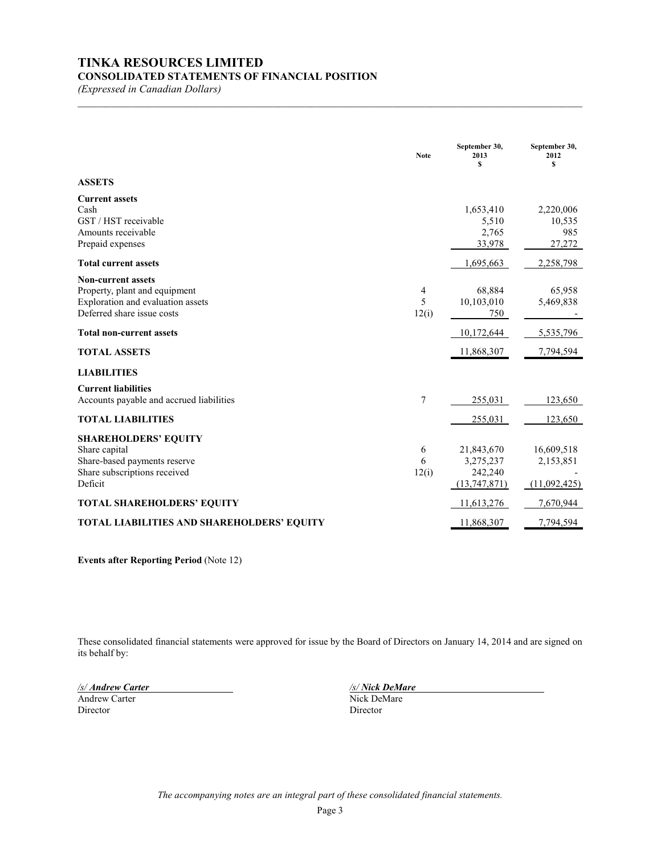# **TINKA RESOURCES LIMITED**

# **CONSOLIDATED STATEMENTS OF FINANCIAL POSITION**

*(Expressed in Canadian Dollars)*

|                                                                                                                               | <b>Note</b>     | September 30,<br>2013<br>S                         | September 30,<br>2012<br>S              |
|-------------------------------------------------------------------------------------------------------------------------------|-----------------|----------------------------------------------------|-----------------------------------------|
| <b>ASSETS</b>                                                                                                                 |                 |                                                    |                                         |
| <b>Current assets</b><br>Cash<br>GST / HST receivable<br>Amounts receivable<br>Prepaid expenses                               |                 | 1,653,410<br>5,510<br>2,765<br>33,978              | 2,220,006<br>10,535<br>985<br>27,272    |
| <b>Total current assets</b>                                                                                                   |                 | 1,695,663                                          | 2,258,798                               |
| <b>Non-current assets</b><br>Property, plant and equipment<br>Exploration and evaluation assets<br>Deferred share issue costs | 4<br>5<br>12(i) | 68,884<br>10,103,010<br>750                        | 65,958<br>5,469,838                     |
| <b>Total non-current assets</b>                                                                                               |                 | 10,172,644                                         | 5,535,796                               |
| <b>TOTAL ASSETS</b>                                                                                                           |                 | 11,868,307                                         | 7,794,594                               |
| <b>LIABILITIES</b>                                                                                                            |                 |                                                    |                                         |
| <b>Current liabilities</b><br>Accounts payable and accrued liabilities                                                        | $\tau$          | 255,031                                            | 123,650                                 |
| <b>TOTAL LIABILITIES</b>                                                                                                      |                 | 255,031                                            | 123,650                                 |
| <b>SHAREHOLDERS' EQUITY</b><br>Share capital<br>Share-based payments reserve<br>Share subscriptions received<br>Deficit       | 6<br>6<br>12(i) | 21,843,670<br>3,275,237<br>242,240<br>(13,747,871) | 16,609,518<br>2,153,851<br>(11,092,425) |
| <b>TOTAL SHAREHOLDERS' EQUITY</b>                                                                                             |                 | 11,613,276                                         | 7,670,944                               |
| <b>TOTAL LIABILITIES AND SHAREHOLDERS' EQUITY</b>                                                                             |                 | 11,868,307                                         | 7,794,594                               |

 $\mathcal{L}_\mathcal{L} = \{ \mathcal{L}_\mathcal{L} = \{ \mathcal{L}_\mathcal{L} = \{ \mathcal{L}_\mathcal{L} = \{ \mathcal{L}_\mathcal{L} = \{ \mathcal{L}_\mathcal{L} = \{ \mathcal{L}_\mathcal{L} = \{ \mathcal{L}_\mathcal{L} = \{ \mathcal{L}_\mathcal{L} = \{ \mathcal{L}_\mathcal{L} = \{ \mathcal{L}_\mathcal{L} = \{ \mathcal{L}_\mathcal{L} = \{ \mathcal{L}_\mathcal{L} = \{ \mathcal{L}_\mathcal{L} = \{ \mathcal{L}_\mathcal{$ 

**Events after Reporting Period** (Note 12)

These consolidated financial statements were approved for issue by the Board of Directors on January 14, 2014 and are signed on its behalf by:

Andrew Carter Nick Del Nick De Director Nick De Director Director

*/s/ Andrew Carter /s/ Nick DeMare*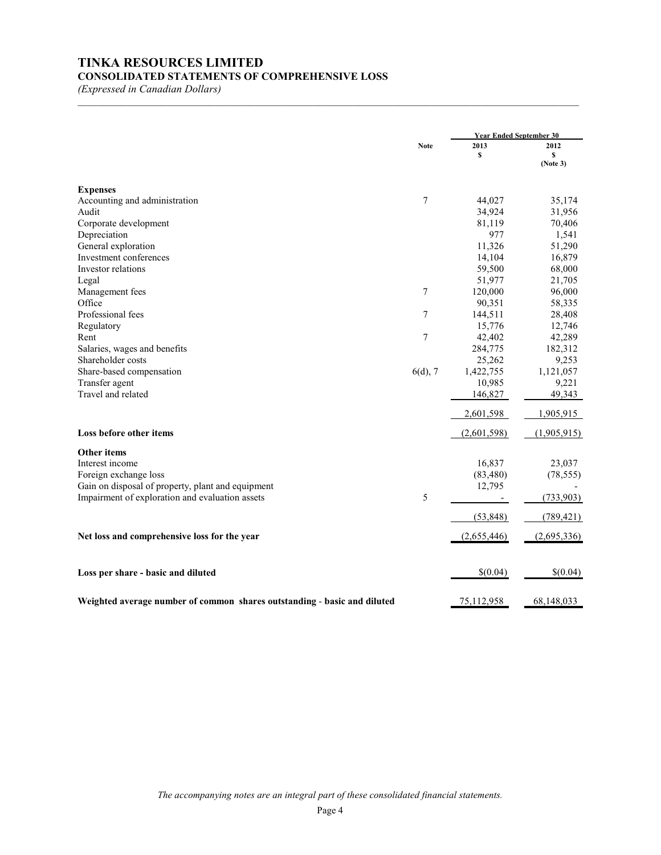# **TINKA RESOURCES LIMITED CONSOLIDATED STATEMENTS OF COMPREHENSIVE LOSS**

*(Expressed in Canadian Dollars)*

|                                                                          |                  | <b>Year Ended September 30</b> |                |  |
|--------------------------------------------------------------------------|------------------|--------------------------------|----------------|--|
|                                                                          | <b>Note</b>      | 2013                           | 2012           |  |
|                                                                          |                  | \$                             | \$<br>(Note 3) |  |
| <b>Expenses</b>                                                          |                  |                                |                |  |
| Accounting and administration                                            | $\boldsymbol{7}$ | 44,027                         | 35,174         |  |
| Audit                                                                    |                  | 34,924                         | 31,956         |  |
| Corporate development                                                    |                  | 81,119                         | 70,406         |  |
| Depreciation                                                             |                  | 977                            | 1,541          |  |
| General exploration                                                      |                  | 11,326                         | 51,290         |  |
| Investment conferences                                                   |                  | 14,104                         | 16,879         |  |
| Investor relations                                                       |                  | 59,500                         | 68,000         |  |
| Legal                                                                    |                  | 51,977                         | 21,705         |  |
| Management fees                                                          | $\tau$           | 120,000                        | 96,000         |  |
| Office                                                                   |                  | 90,351                         | 58,335         |  |
| Professional fees                                                        | $\overline{7}$   | 144,511                        | 28,408         |  |
| Regulatory                                                               |                  | 15,776                         | 12,746         |  |
| Rent                                                                     | $\tau$           | 42,402                         | 42,289         |  |
| Salaries, wages and benefits                                             |                  | 284,775                        | 182,312        |  |
| Shareholder costs                                                        |                  | 25,262                         | 9,253          |  |
| Share-based compensation                                                 | $6(d)$ , 7       | 1,422,755                      | 1,121,057      |  |
| Transfer agent                                                           |                  | 10,985                         | 9,221          |  |
| Travel and related                                                       |                  | 146,827                        | 49,343         |  |
|                                                                          |                  | 2,601,598                      | 1,905,915      |  |
| Loss before other items                                                  |                  | (2,601,598)                    | (1,905,915)    |  |
| <b>Other items</b>                                                       |                  |                                |                |  |
| Interest income                                                          |                  | 16,837                         | 23,037         |  |
| Foreign exchange loss                                                    |                  | (83, 480)                      | (78, 555)      |  |
| Gain on disposal of property, plant and equipment                        |                  | 12,795                         |                |  |
| Impairment of exploration and evaluation assets                          | 5                |                                | (733,903)      |  |
|                                                                          |                  | (53, 848)                      | (789, 421)     |  |
| Net loss and comprehensive loss for the year                             |                  | (2,655,446)                    | (2,695,336)    |  |
| Loss per share - basic and diluted                                       |                  | \$(0.04)                       | \$(0.04)       |  |
| Weighted average number of common shares outstanding - basic and diluted |                  | 75,112,958                     | 68,148,033     |  |

 $\mathcal{L}_\text{max} = \mathcal{L}_\text{max} = \mathcal{L}_\text{max} = \mathcal{L}_\text{max} = \mathcal{L}_\text{max} = \mathcal{L}_\text{max} = \mathcal{L}_\text{max} = \mathcal{L}_\text{max} = \mathcal{L}_\text{max} = \mathcal{L}_\text{max} = \mathcal{L}_\text{max} = \mathcal{L}_\text{max} = \mathcal{L}_\text{max} = \mathcal{L}_\text{max} = \mathcal{L}_\text{max} = \mathcal{L}_\text{max} = \mathcal{L}_\text{max} = \mathcal{L}_\text{max} = \mathcal{$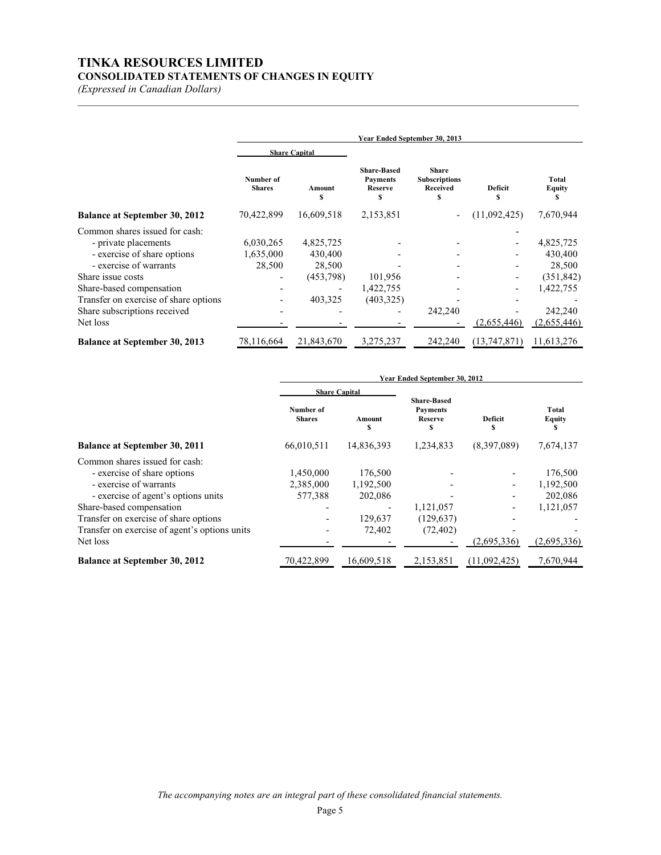# **TINKA RESOURCES LIMITED CONSOLIDATED STATEMENTS OF CHANGES IN EQUITY**

*(Expressed in Canadian Dollars)*

|                                       | Year Ended September 30, 2013 |                      |                                                              |                                                              |                     |                               |
|---------------------------------------|-------------------------------|----------------------|--------------------------------------------------------------|--------------------------------------------------------------|---------------------|-------------------------------|
|                                       |                               | <b>Share Capital</b> |                                                              |                                                              |                     |                               |
|                                       | Number of<br><b>Shares</b>    | Amount<br>\$         | <b>Share-Based</b><br><b>Payments</b><br><b>Reserve</b><br>S | <b>Share</b><br><b>Subscriptions</b><br><b>Received</b><br>S | <b>Deficit</b><br>S | <b>Total</b><br><b>Equity</b> |
| <b>Balance at September 30, 2012</b>  | 70,422,899                    | 16,609,518           | 2,153,851                                                    |                                                              | (11,092,425)        | 7,670,944                     |
| Common shares issued for cash:        |                               |                      |                                                              |                                                              |                     |                               |
| - private placements                  | 6,030,265                     | 4,825,725            |                                                              |                                                              |                     | 4,825,725                     |
| - exercise of share options           | 1,635,000                     | 430,400              |                                                              |                                                              |                     | 430,400                       |
| - exercise of warrants                | 28,500                        | 28,500               |                                                              |                                                              |                     | 28,500                        |
| Share issue costs                     |                               | (453, 798)           | 101,956                                                      |                                                              |                     | (351, 842)                    |
| Share-based compensation              |                               |                      | 1,422,755                                                    |                                                              |                     | 1,422,755                     |
| Transfer on exercise of share options |                               | 403,325              | (403, 325)                                                   |                                                              |                     |                               |
| Share subscriptions received          |                               |                      |                                                              | 242,240                                                      |                     | 242,240                       |
| Net loss                              |                               |                      |                                                              |                                                              | (2,655,446)         | (2,655,446)                   |
| <b>Balance at September 30, 2013</b>  | 78,116,664                    | 21,843,670           | 3,275,237                                                    | 242,240                                                      | (13,747,871)        | 11,613,276                    |

 $\mathcal{L}_\text{max} = \mathcal{L}_\text{max} = \mathcal{L}_\text{max} = \mathcal{L}_\text{max} = \mathcal{L}_\text{max} = \mathcal{L}_\text{max} = \mathcal{L}_\text{max} = \mathcal{L}_\text{max} = \mathcal{L}_\text{max} = \mathcal{L}_\text{max} = \mathcal{L}_\text{max} = \mathcal{L}_\text{max} = \mathcal{L}_\text{max} = \mathcal{L}_\text{max} = \mathcal{L}_\text{max} = \mathcal{L}_\text{max} = \mathcal{L}_\text{max} = \mathcal{L}_\text{max} = \mathcal{$ 

|                                                                                                                                                                                                                                                                  | Year Ended September 30, 2012     |                                                      |                                                              |                                         |                                                             |  |
|------------------------------------------------------------------------------------------------------------------------------------------------------------------------------------------------------------------------------------------------------------------|-----------------------------------|------------------------------------------------------|--------------------------------------------------------------|-----------------------------------------|-------------------------------------------------------------|--|
|                                                                                                                                                                                                                                                                  | <b>Share Capital</b>              |                                                      |                                                              |                                         |                                                             |  |
|                                                                                                                                                                                                                                                                  | Number of<br><b>Shares</b>        | Amount<br>S                                          | <b>Share-Based</b><br><b>Payments</b><br><b>Reserve</b><br>s | Deficit                                 | Total<br><b>Equity</b><br>S                                 |  |
| <b>Balance at September 30, 2011</b>                                                                                                                                                                                                                             | 66,010,511                        | 14,836,393                                           | 1,234,833                                                    | (8,397,089)                             | 7,674,137                                                   |  |
| Common shares issued for cash:<br>- exercise of share options<br>- exercise of warrants<br>- exercise of agent's options units<br>Share-based compensation<br>Transfer on exercise of share options<br>Transfer on exercise of agent's options units<br>Net loss | 1,450,000<br>2,385,000<br>577,388 | 176,500<br>1,192,500<br>202,086<br>129,637<br>72,402 | 1,121,057<br>(129, 637)<br>(72, 402)                         | $\overline{\phantom{a}}$<br>(2,695,336) | 176,500<br>1,192,500<br>202,086<br>1,121,057<br>(2,695,336) |  |
| <b>Balance at September 30, 2012</b>                                                                                                                                                                                                                             | 70,422,899                        | 16,609,518                                           | 2,153,851                                                    | (11,092,425)                            | 7,670,944                                                   |  |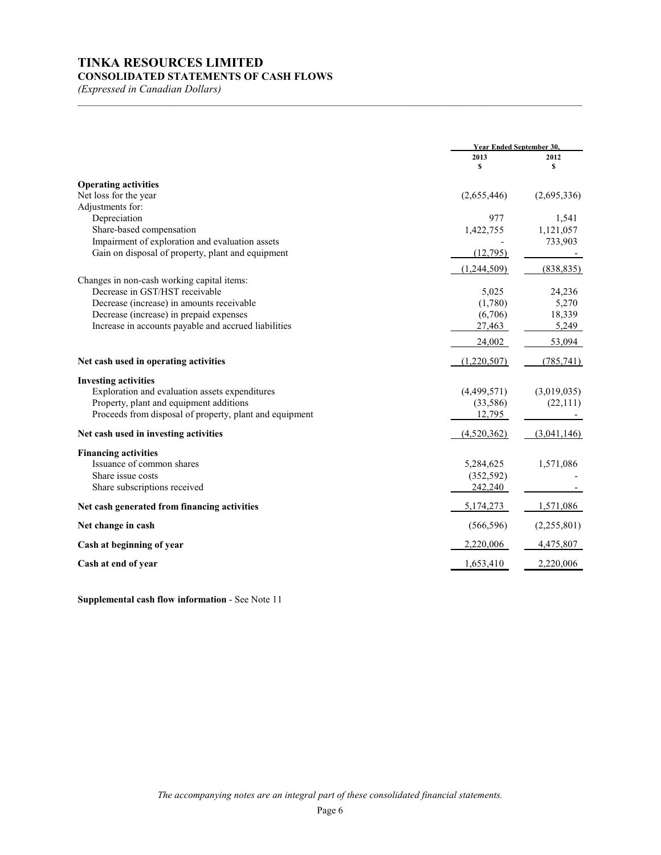# **TINKA RESOURCES LIMITED CONSOLIDATED STATEMENTS OF CASH FLOWS**

*(Expressed in Canadian Dollars)*

|                                                         | <b>Year Ended September 30.</b> |             |
|---------------------------------------------------------|---------------------------------|-------------|
|                                                         | 2013<br>\$                      | 2012<br>s   |
| <b>Operating activities</b>                             |                                 |             |
| Net loss for the year                                   | (2,655,446)                     | (2,695,336) |
| Adjustments for:                                        |                                 |             |
| Depreciation                                            | 977                             | 1,541       |
| Share-based compensation                                | 1,422,755                       | 1,121,057   |
| Impairment of exploration and evaluation assets         |                                 | 733,903     |
| Gain on disposal of property, plant and equipment       | (12,795)                        |             |
|                                                         | (1,244,509)                     | (838, 835)  |
| Changes in non-cash working capital items:              |                                 |             |
| Decrease in GST/HST receivable                          | 5,025                           | 24,236      |
| Decrease (increase) in amounts receivable               | (1,780)                         | 5,270       |
| Decrease (increase) in prepaid expenses                 | (6,706)                         | 18,339      |
| Increase in accounts payable and accrued liabilities    | 27,463                          | 5,249       |
|                                                         | 24,002                          | 53,094      |
| Net cash used in operating activities                   | (1,220,507)                     | (785, 741)  |
| <b>Investing activities</b>                             |                                 |             |
| Exploration and evaluation assets expenditures          | (4,499,571)                     | (3,019,035) |
| Property, plant and equipment additions                 | (33, 586)                       | (22,111)    |
| Proceeds from disposal of property, plant and equipment | 12,795                          |             |
| Net cash used in investing activities                   | (4,520,362)                     | (3,041,146) |
| <b>Financing activities</b>                             |                                 |             |
| Issuance of common shares                               | 5,284,625                       | 1,571,086   |
| Share issue costs                                       | (352, 592)                      |             |
| Share subscriptions received                            | 242,240                         |             |
|                                                         |                                 |             |
| Net cash generated from financing activities            | 5,174,273                       | 1,571,086   |
| Net change in cash                                      | (566, 596)                      | (2,255,801) |
| Cash at beginning of year                               | 2,220,006                       | 4,475,807   |
| Cash at end of year                                     | 1,653,410                       | 2,220,006   |

\_\_\_\_\_\_\_\_\_\_\_\_\_\_\_\_\_\_\_\_\_\_\_\_\_\_\_\_\_\_\_\_\_\_\_\_\_\_\_\_\_\_\_\_\_\_\_\_\_\_\_\_\_\_\_\_\_\_\_\_\_\_\_\_\_\_\_\_\_\_\_\_\_\_\_\_\_\_\_\_\_\_\_\_\_\_\_\_\_\_\_\_\_\_\_\_\_\_\_\_\_\_\_

**Supplemental cash flow information** - See Note 11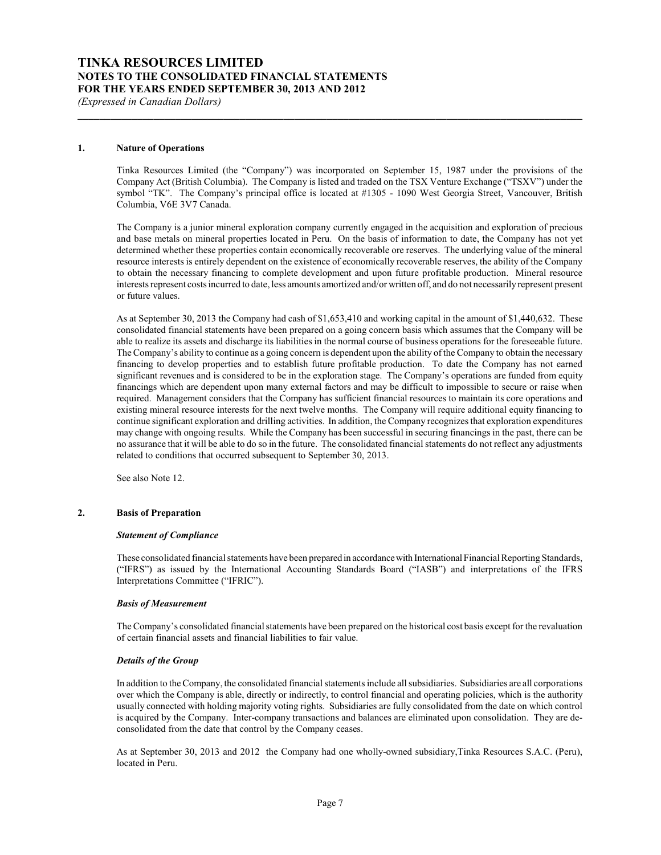#### **1. Nature of Operations**

Tinka Resources Limited (the "Company") was incorporated on September 15, 1987 under the provisions of the Company Act (British Columbia). The Company is listed and traded on the TSX Venture Exchange ("TSXV") under the symbol "TK". The Company's principal office is located at #1305 - 1090 West Georgia Street, Vancouver, British Columbia, V6E 3V7 Canada.

**\_\_\_\_\_\_\_\_\_\_\_\_\_\_\_\_\_\_\_\_\_\_\_\_\_\_\_\_\_\_\_\_\_\_\_\_\_\_\_\_\_\_\_\_\_\_\_\_\_\_\_\_\_\_\_\_\_\_\_\_\_\_\_\_\_\_\_\_\_\_\_\_\_\_\_\_\_\_\_\_\_\_\_\_\_\_\_\_\_\_\_\_\_**

The Company is a junior mineral exploration company currently engaged in the acquisition and exploration of precious and base metals on mineral properties located in Peru. On the basis of information to date, the Company has not yet determined whether these properties contain economically recoverable ore reserves. The underlying value of the mineral resource interests is entirely dependent on the existence of economically recoverable reserves, the ability of the Company to obtain the necessary financing to complete development and upon future profitable production. Mineral resource interests represent costs incurred to date, less amounts amortized and/or written off, and do not necessarily represent present or future values.

As at September 30, 2013 the Company had cash of \$1,653,410 and working capital in the amount of \$1,440,632. These consolidated financial statements have been prepared on a going concern basis which assumes that the Company will be able to realize its assets and discharge its liabilities in the normal course of business operations for the foreseeable future. The Company's ability to continue as a going concern is dependent upon the ability of the Company to obtain the necessary financing to develop properties and to establish future profitable production. To date the Company has not earned significant revenues and is considered to be in the exploration stage. The Company's operations are funded from equity financings which are dependent upon many external factors and may be difficult to impossible to secure or raise when required. Management considers that the Company has sufficient financial resources to maintain its core operations and existing mineral resource interests for the next twelve months. The Company will require additional equity financing to continue significant exploration and drilling activities. In addition, the Company recognizes that exploration expenditures may change with ongoing results. While the Company has been successful in securing financings in the past, there can be no assurance that it will be able to do so in the future. The consolidated financial statements do not reflect any adjustments related to conditions that occurred subsequent to September 30, 2013.

See also Note 12.

#### **2. Basis of Preparation**

#### *Statement of Compliance*

These consolidated financial statements have been prepared in accordance with International Financial Reporting Standards, ("IFRS") as issued by the International Accounting Standards Board ("IASB") and interpretations of the IFRS Interpretations Committee ("IFRIC").

#### *Basis of Measurement*

The Company's consolidated financial statements have been prepared on the historical cost basis except for the revaluation of certain financial assets and financial liabilities to fair value.

#### *Details of the Group*

In addition to the Company, the consolidated financial statements include all subsidiaries. Subsidiaries are all corporations over which the Company is able, directly or indirectly, to control financial and operating policies, which is the authority usually connected with holding majority voting rights. Subsidiaries are fully consolidated from the date on which control is acquired by the Company. Inter-company transactions and balances are eliminated upon consolidation. They are deconsolidated from the date that control by the Company ceases.

As at September 30, 2013 and 2012 the Company had one wholly-owned subsidiary,Tinka Resources S.A.C. (Peru), located in Peru.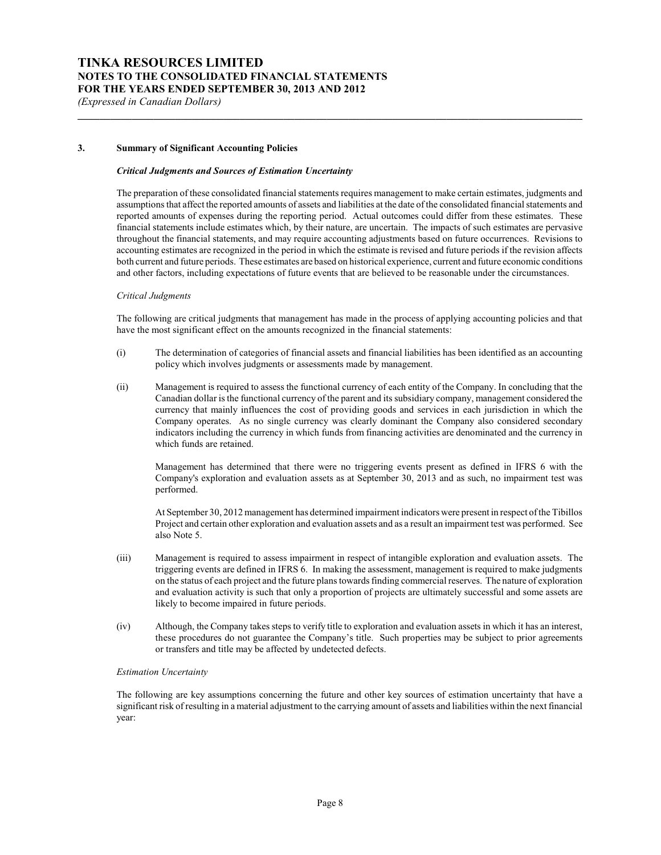# **3. Summary of Significant Accounting Policies**

#### *Critical Judgments and Sources of Estimation Uncertainty*

The preparation of these consolidated financial statements requires management to make certain estimates, judgments and assumptions that affect the reported amounts of assets and liabilities at the date of the consolidated financial statements and reported amounts of expenses during the reporting period. Actual outcomes could differ from these estimates. These financial statements include estimates which, by their nature, are uncertain. The impacts of such estimates are pervasive throughout the financial statements, and may require accounting adjustments based on future occurrences. Revisions to accounting estimates are recognized in the period in which the estimate is revised and future periods if the revision affects both current and future periods. These estimates are based on historical experience, current and future economic conditions and other factors, including expectations of future events that are believed to be reasonable under the circumstances.

**\_\_\_\_\_\_\_\_\_\_\_\_\_\_\_\_\_\_\_\_\_\_\_\_\_\_\_\_\_\_\_\_\_\_\_\_\_\_\_\_\_\_\_\_\_\_\_\_\_\_\_\_\_\_\_\_\_\_\_\_\_\_\_\_\_\_\_\_\_\_\_\_\_\_\_\_\_\_\_\_\_\_\_\_\_\_\_\_\_\_\_\_\_**

#### *Critical Judgments*

The following are critical judgments that management has made in the process of applying accounting policies and that have the most significant effect on the amounts recognized in the financial statements:

- (i) The determination of categories of financial assets and financial liabilities has been identified as an accounting policy which involves judgments or assessments made by management.
- (ii) Management is required to assess the functional currency of each entity of the Company. In concluding that the Canadian dollar is the functional currency of the parent and its subsidiary company, management considered the currency that mainly influences the cost of providing goods and services in each jurisdiction in which the Company operates. As no single currency was clearly dominant the Company also considered secondary indicators including the currency in which funds from financing activities are denominated and the currency in which funds are retained.

Management has determined that there were no triggering events present as defined in IFRS 6 with the Company's exploration and evaluation assets as at September 30, 2013 and as such, no impairment test was performed.

At September 30, 2012 management has determined impairment indicators were present in respect of the Tibillos Project and certain other exploration and evaluation assets and as a result an impairment test was performed. See also Note 5.

- (iii) Management is required to assess impairment in respect of intangible exploration and evaluation assets. The triggering events are defined in IFRS 6. In making the assessment, management is required to make judgments on the status of each project and the future plans towards finding commercial reserves. The nature of exploration and evaluation activity is such that only a proportion of projects are ultimately successful and some assets are likely to become impaired in future periods.
- (iv) Although, the Company takes steps to verify title to exploration and evaluation assets in which it has an interest, these procedures do not guarantee the Company's title. Such properties may be subject to prior agreements or transfers and title may be affected by undetected defects.

#### *Estimation Uncertainty*

The following are key assumptions concerning the future and other key sources of estimation uncertainty that have a significant risk of resulting in a material adjustment to the carrying amount of assets and liabilities within the next financial year: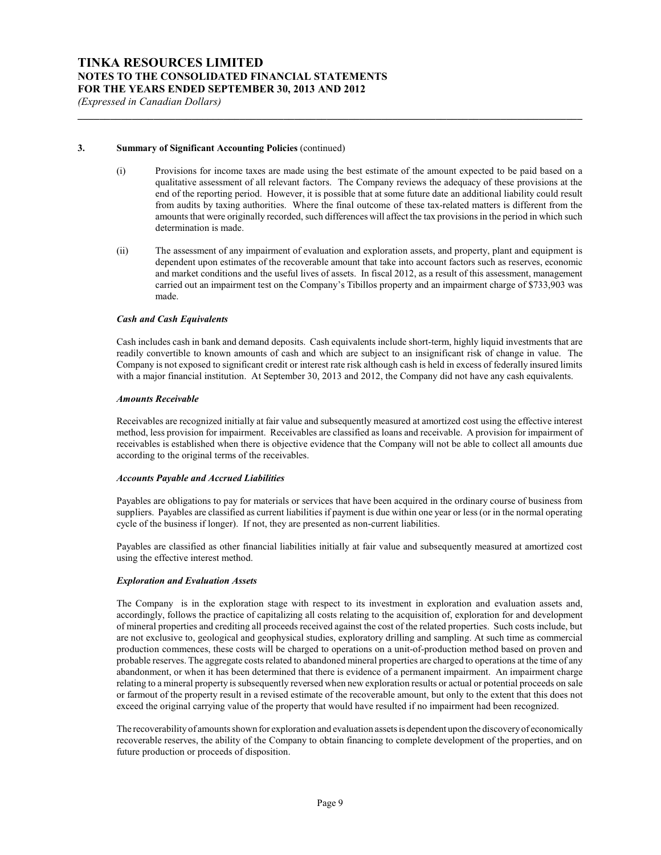#### **3. Summary of Significant Accounting Policies** (continued)

(i) Provisions for income taxes are made using the best estimate of the amount expected to be paid based on a qualitative assessment of all relevant factors. The Company reviews the adequacy of these provisions at the end of the reporting period. However, it is possible that at some future date an additional liability could result from audits by taxing authorities. Where the final outcome of these tax-related matters is different from the amounts that were originally recorded, such differences will affect the tax provisions in the period in which such determination is made.

**\_\_\_\_\_\_\_\_\_\_\_\_\_\_\_\_\_\_\_\_\_\_\_\_\_\_\_\_\_\_\_\_\_\_\_\_\_\_\_\_\_\_\_\_\_\_\_\_\_\_\_\_\_\_\_\_\_\_\_\_\_\_\_\_\_\_\_\_\_\_\_\_\_\_\_\_\_\_\_\_\_\_\_\_\_\_\_\_\_\_\_\_\_**

(ii) The assessment of any impairment of evaluation and exploration assets, and property, plant and equipment is dependent upon estimates of the recoverable amount that take into account factors such as reserves, economic and market conditions and the useful lives of assets. In fiscal 2012, as a result of this assessment, management carried out an impairment test on the Company's Tibillos property and an impairment charge of \$733,903 was made.

## *Cash and Cash Equivalents*

Cash includes cash in bank and demand deposits. Cash equivalents include short-term, highly liquid investments that are readily convertible to known amounts of cash and which are subject to an insignificant risk of change in value. The Company is not exposed to significant credit or interest rate risk although cash is held in excess of federally insured limits with a major financial institution. At September 30, 2013 and 2012, the Company did not have any cash equivalents.

#### *Amounts Receivable*

Receivables are recognized initially at fair value and subsequently measured at amortized cost using the effective interest method, less provision for impairment. Receivables are classified as loans and receivable. A provision for impairment of receivables is established when there is objective evidence that the Company will not be able to collect all amounts due according to the original terms of the receivables.

#### *Accounts Payable and Accrued Liabilities*

Payables are obligations to pay for materials or services that have been acquired in the ordinary course of business from suppliers. Payables are classified as current liabilities if payment is due within one year or less (or in the normal operating cycle of the business if longer). If not, they are presented as non-current liabilities.

Payables are classified as other financial liabilities initially at fair value and subsequently measured at amortized cost using the effective interest method.

#### *Exploration and Evaluation Assets*

The Company is in the exploration stage with respect to its investment in exploration and evaluation assets and, accordingly, follows the practice of capitalizing all costs relating to the acquisition of, exploration for and development of mineral properties and crediting all proceeds received against the cost of the related properties. Such costs include, but are not exclusive to, geological and geophysical studies, exploratory drilling and sampling. At such time as commercial production commences, these costs will be charged to operations on a unit-of-production method based on proven and probable reserves. The aggregate costs related to abandoned mineral properties are charged to operations at the time of any abandonment, or when it has been determined that there is evidence of a permanent impairment. An impairment charge relating to a mineral property is subsequently reversed when new exploration results or actual or potential proceeds on sale or farmout of the property result in a revised estimate of the recoverable amount, but only to the extent that this does not exceed the original carrying value of the property that would have resulted if no impairment had been recognized.

The recoverability of amounts shown for exploration and evaluation assets is dependent upon the discoveryof economically recoverable reserves, the ability of the Company to obtain financing to complete development of the properties, and on future production or proceeds of disposition.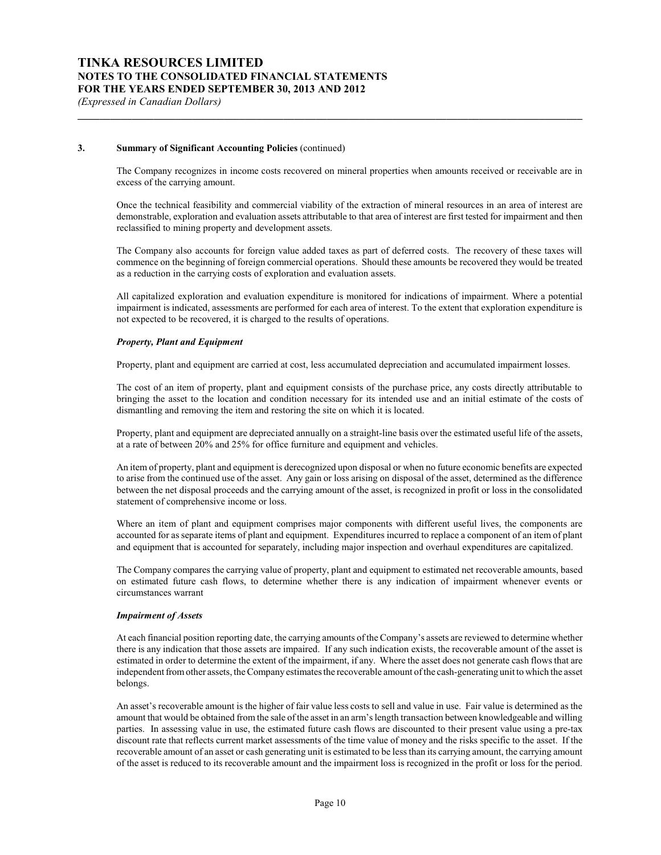# **3. Summary of Significant Accounting Policies** (continued)

The Company recognizes in income costs recovered on mineral properties when amounts received or receivable are in excess of the carrying amount.

**\_\_\_\_\_\_\_\_\_\_\_\_\_\_\_\_\_\_\_\_\_\_\_\_\_\_\_\_\_\_\_\_\_\_\_\_\_\_\_\_\_\_\_\_\_\_\_\_\_\_\_\_\_\_\_\_\_\_\_\_\_\_\_\_\_\_\_\_\_\_\_\_\_\_\_\_\_\_\_\_\_\_\_\_\_\_\_\_\_\_\_\_\_**

Once the technical feasibility and commercial viability of the extraction of mineral resources in an area of interest are demonstrable, exploration and evaluation assets attributable to that area of interest are first tested for impairment and then reclassified to mining property and development assets.

The Company also accounts for foreign value added taxes as part of deferred costs. The recovery of these taxes will commence on the beginning of foreign commercial operations. Should these amounts be recovered they would be treated as a reduction in the carrying costs of exploration and evaluation assets.

All capitalized exploration and evaluation expenditure is monitored for indications of impairment. Where a potential impairment is indicated, assessments are performed for each area of interest. To the extent that exploration expenditure is not expected to be recovered, it is charged to the results of operations.

#### *Property, Plant and Equipment*

Property, plant and equipment are carried at cost, less accumulated depreciation and accumulated impairment losses.

The cost of an item of property, plant and equipment consists of the purchase price, any costs directly attributable to bringing the asset to the location and condition necessary for its intended use and an initial estimate of the costs of dismantling and removing the item and restoring the site on which it is located.

Property, plant and equipment are depreciated annually on a straight-line basis over the estimated useful life of the assets, at a rate of between 20% and 25% for office furniture and equipment and vehicles.

An item of property, plant and equipment is derecognized upon disposal or when no future economic benefits are expected to arise from the continued use of the asset. Any gain or loss arising on disposal of the asset, determined as the difference between the net disposal proceeds and the carrying amount of the asset, is recognized in profit or loss in the consolidated statement of comprehensive income or loss.

Where an item of plant and equipment comprises major components with different useful lives, the components are accounted for as separate items of plant and equipment. Expenditures incurred to replace a component of an item of plant and equipment that is accounted for separately, including major inspection and overhaul expenditures are capitalized.

The Company compares the carrying value of property, plant and equipment to estimated net recoverable amounts, based on estimated future cash flows, to determine whether there is any indication of impairment whenever events or circumstances warrant

#### *Impairment of Assets*

At each financial position reporting date, the carrying amounts of the Company's assets are reviewed to determine whether there is any indication that those assets are impaired. If any such indication exists, the recoverable amount of the asset is estimated in order to determine the extent of the impairment, if any. Where the asset does not generate cash flows that are independent from other assets, the Company estimates the recoverable amount of the cash-generating unit to which the asset belongs.

An asset's recoverable amount is the higher of fair value less costs to sell and value in use. Fair value is determined as the amount that would be obtained from the sale of the asset in an arm's length transaction between knowledgeable and willing parties. In assessing value in use, the estimated future cash flows are discounted to their present value using a pre-tax discount rate that reflects current market assessments of the time value of money and the risks specific to the asset. If the recoverable amount of an asset or cash generating unit is estimated to be less than its carrying amount, the carrying amount of the asset is reduced to its recoverable amount and the impairment loss is recognized in the profit or loss for the period.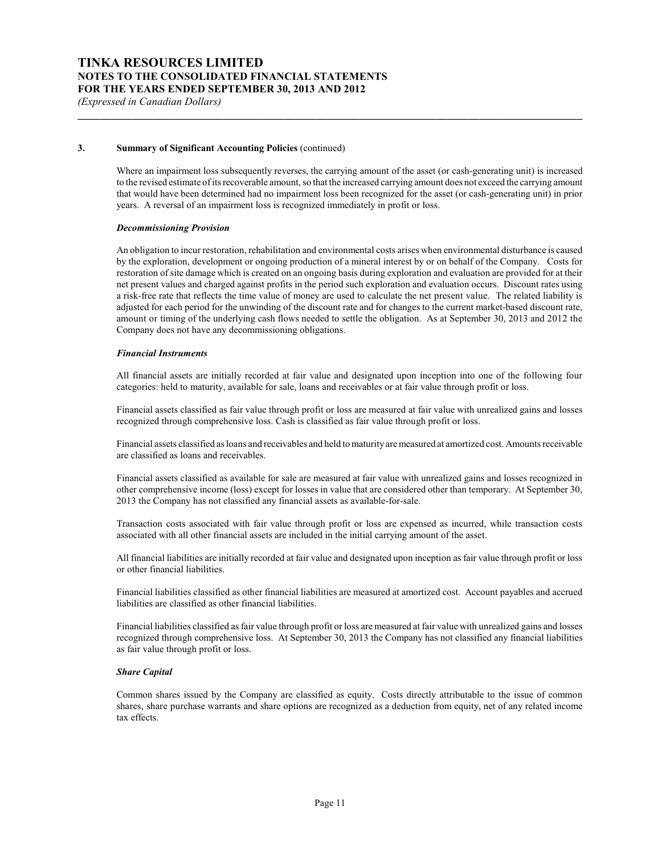## **3. Summary of Significant Accounting Policies** (continued)

Where an impairment loss subsequently reverses, the carrying amount of the asset (or cash-generating unit) is increased to the revised estimate of its recoverable amount, so that the increased carrying amount does not exceed the carrying amount that would have been determined had no impairment loss been recognized for the asset (or cash-generating unit) in prior years. A reversal of an impairment loss is recognized immediately in profit or loss.

**\_\_\_\_\_\_\_\_\_\_\_\_\_\_\_\_\_\_\_\_\_\_\_\_\_\_\_\_\_\_\_\_\_\_\_\_\_\_\_\_\_\_\_\_\_\_\_\_\_\_\_\_\_\_\_\_\_\_\_\_\_\_\_\_\_\_\_\_\_\_\_\_\_\_\_\_\_\_\_\_\_\_\_\_\_\_\_\_\_\_\_\_\_**

#### *Decommissioning Provision*

An obligation to incur restoration, rehabilitation and environmental costs arises when environmental disturbance is caused by the exploration, development or ongoing production of a mineral interest by or on behalf of the Company. Costs for restoration of site damage which is created on an ongoing basis during exploration and evaluation are provided for at their net present values and charged against profits in the period such exploration and evaluation occurs. Discount rates using a risk-free rate that reflects the time value of money are used to calculate the net present value. The related liability is adjusted for each period for the unwinding of the discount rate and for changes to the current market-based discount rate, amount or timing of the underlying cash flows needed to settle the obligation. As at September 30, 2013 and 2012 the Company does not have any decommissioning obligations.

#### *Financial Instruments*

All financial assets are initially recorded at fair value and designated upon inception into one of the following four categories: held to maturity, available for sale, loans and receivables or at fair value through profit or loss.

Financial assets classified as fair value through profit or loss are measured at fair value with unrealized gains and losses recognized through comprehensive loss. Cash is classified as fair value through profit or loss.

Financial assets classified as loans and receivables and held to maturity are measured at amortized cost. Amounts receivable are classified as loans and receivables.

Financial assets classified as available for sale are measured at fair value with unrealized gains and losses recognized in other comprehensive income (loss) except for losses in value that are considered other than temporary. At September 30, 2013 the Company has not classified any financial assets as available-for-sale.

Transaction costs associated with fair value through profit or loss are expensed as incurred, while transaction costs associated with all other financial assets are included in the initial carrying amount of the asset.

All financial liabilities are initially recorded at fair value and designated upon inception as fair value through profit or loss or other financial liabilities.

Financial liabilities classified as other financial liabilities are measured at amortized cost. Account payables and accrued liabilities are classified as other financial liabilities.

Financial liabilities classified as fair value through profit or loss are measured at fair value with unrealized gains and losses recognized through comprehensive loss. At September 30, 2013 the Company has not classified any financial liabilities as fair value through profit or loss.

#### *Share Capital*

Common shares issued by the Company are classified as equity. Costs directly attributable to the issue of common shares, share purchase warrants and share options are recognized as a deduction from equity, net of any related income tax effects.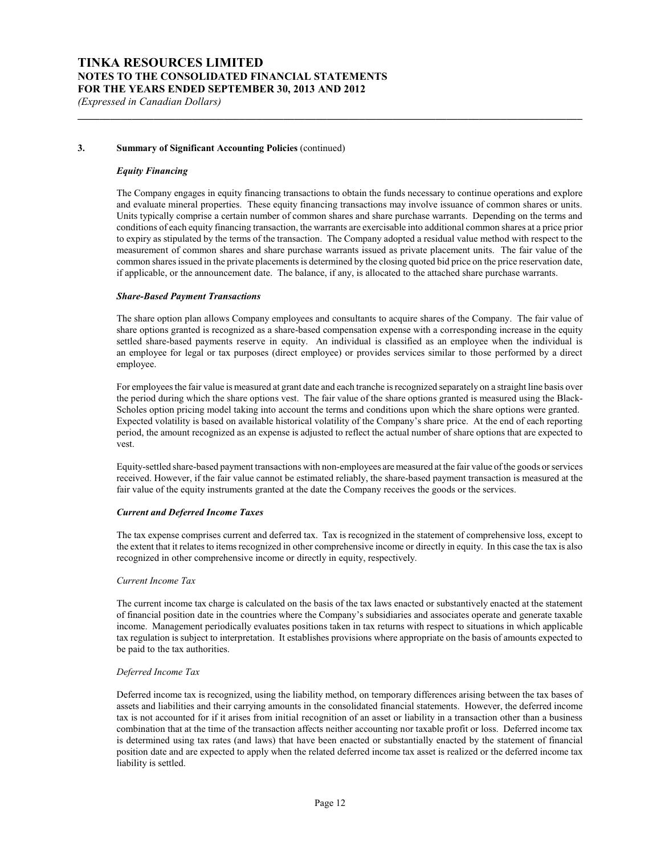## **3. Summary of Significant Accounting Policies** (continued)

#### *Equity Financing*

The Company engages in equity financing transactions to obtain the funds necessary to continue operations and explore and evaluate mineral properties. These equity financing transactions may involve issuance of common shares or units. Units typically comprise a certain number of common shares and share purchase warrants. Depending on the terms and conditions of each equity financing transaction, the warrants are exercisable into additional common shares at a price prior to expiry as stipulated by the terms of the transaction. The Company adopted a residual value method with respect to the measurement of common shares and share purchase warrants issued as private placement units. The fair value of the common shares issued in the private placements is determined by the closing quoted bid price on the price reservation date, if applicable, or the announcement date. The balance, if any, is allocated to the attached share purchase warrants.

**\_\_\_\_\_\_\_\_\_\_\_\_\_\_\_\_\_\_\_\_\_\_\_\_\_\_\_\_\_\_\_\_\_\_\_\_\_\_\_\_\_\_\_\_\_\_\_\_\_\_\_\_\_\_\_\_\_\_\_\_\_\_\_\_\_\_\_\_\_\_\_\_\_\_\_\_\_\_\_\_\_\_\_\_\_\_\_\_\_\_\_\_\_**

#### *Share-Based Payment Transactions*

The share option plan allows Company employees and consultants to acquire shares of the Company. The fair value of share options granted is recognized as a share-based compensation expense with a corresponding increase in the equity settled share-based payments reserve in equity. An individual is classified as an employee when the individual is an employee for legal or tax purposes (direct employee) or provides services similar to those performed by a direct employee.

For employees the fair value is measured at grant date and each tranche is recognized separately on a straight line basis over the period during which the share options vest. The fair value of the share options granted is measured using the Black-Scholes option pricing model taking into account the terms and conditions upon which the share options were granted. Expected volatility is based on available historical volatility of the Company's share price. At the end of each reporting period, the amount recognized as an expense is adjusted to reflect the actual number of share options that are expected to vest.

Equity-settled share-based payment transactions with non-employees are measured at the fair value of the goods or services received. However, if the fair value cannot be estimated reliably, the share-based payment transaction is measured at the fair value of the equity instruments granted at the date the Company receives the goods or the services.

#### *Current and Deferred Income Taxes*

The tax expense comprises current and deferred tax. Tax is recognized in the statement of comprehensive loss, except to the extent that it relates to items recognized in other comprehensive income or directly in equity. In this case the tax is also recognized in other comprehensive income or directly in equity, respectively.

#### *Current Income Tax*

The current income tax charge is calculated on the basis of the tax laws enacted or substantively enacted at the statement of financial position date in the countries where the Company's subsidiaries and associates operate and generate taxable income. Management periodically evaluates positions taken in tax returns with respect to situations in which applicable tax regulation is subject to interpretation. It establishes provisions where appropriate on the basis of amounts expected to be paid to the tax authorities.

#### *Deferred Income Tax*

Deferred income tax is recognized, using the liability method, on temporary differences arising between the tax bases of assets and liabilities and their carrying amounts in the consolidated financial statements. However, the deferred income tax is not accounted for if it arises from initial recognition of an asset or liability in a transaction other than a business combination that at the time of the transaction affects neither accounting nor taxable profit or loss. Deferred income tax is determined using tax rates (and laws) that have been enacted or substantially enacted by the statement of financial position date and are expected to apply when the related deferred income tax asset is realized or the deferred income tax liability is settled.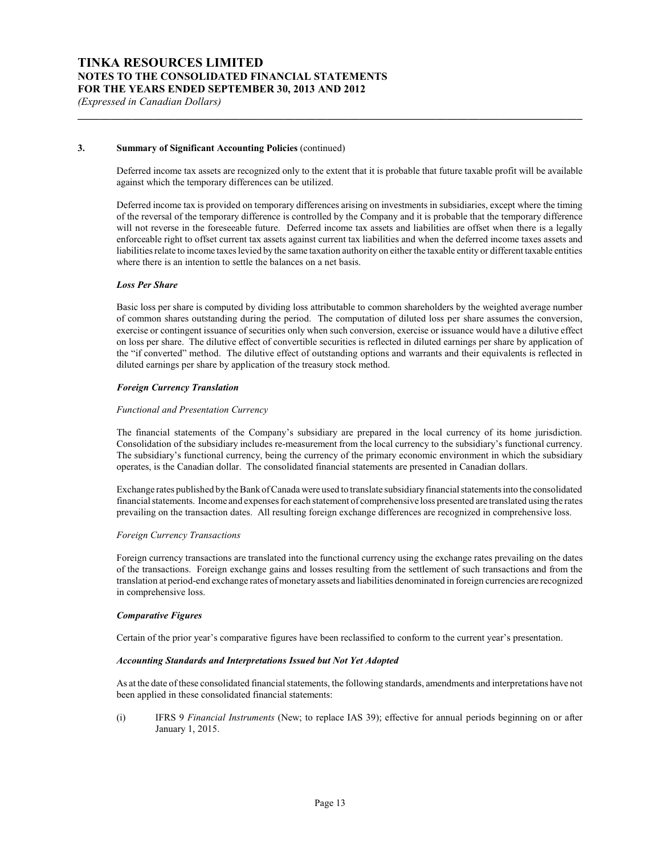## **3. Summary of Significant Accounting Policies** (continued)

Deferred income tax assets are recognized only to the extent that it is probable that future taxable profit will be available against which the temporary differences can be utilized.

**\_\_\_\_\_\_\_\_\_\_\_\_\_\_\_\_\_\_\_\_\_\_\_\_\_\_\_\_\_\_\_\_\_\_\_\_\_\_\_\_\_\_\_\_\_\_\_\_\_\_\_\_\_\_\_\_\_\_\_\_\_\_\_\_\_\_\_\_\_\_\_\_\_\_\_\_\_\_\_\_\_\_\_\_\_\_\_\_\_\_\_\_\_**

Deferred income tax is provided on temporary differences arising on investments in subsidiaries, except where the timing of the reversal of the temporary difference is controlled by the Company and it is probable that the temporary difference will not reverse in the foreseeable future. Deferred income tax assets and liabilities are offset when there is a legally enforceable right to offset current tax assets against current tax liabilities and when the deferred income taxes assets and liabilities relate to income taxes levied by the same taxation authority on either the taxable entity or different taxable entities where there is an intention to settle the balances on a net basis.

#### *Loss Per Share*

Basic loss per share is computed by dividing loss attributable to common shareholders by the weighted average number of common shares outstanding during the period. The computation of diluted loss per share assumes the conversion, exercise or contingent issuance of securities only when such conversion, exercise or issuance would have a dilutive effect on loss per share. The dilutive effect of convertible securities is reflected in diluted earnings per share by application of the "if converted" method. The dilutive effect of outstanding options and warrants and their equivalents is reflected in diluted earnings per share by application of the treasury stock method.

#### *Foreign Currency Translation*

#### *Functional and Presentation Currency*

The financial statements of the Company's subsidiary are prepared in the local currency of its home jurisdiction. Consolidation of the subsidiary includes re-measurement from the local currency to the subsidiary's functional currency. The subsidiary's functional currency, being the currency of the primary economic environment in which the subsidiary operates, is the Canadian dollar. The consolidated financial statements are presented in Canadian dollars.

Exchange rates published by the Bank of Canada were used to translate subsidiaryfinancial statements into the consolidated financial statements. Income and expenses for each statement of comprehensive loss presented are translated using the rates prevailing on the transaction dates. All resulting foreign exchange differences are recognized in comprehensive loss.

#### *Foreign Currency Transactions*

Foreign currency transactions are translated into the functional currency using the exchange rates prevailing on the dates of the transactions. Foreign exchange gains and losses resulting from the settlement of such transactions and from the translation at period-end exchange rates of monetary assets and liabilities denominated in foreign currencies are recognized in comprehensive loss.

#### *Comparative Figures*

Certain of the prior year's comparative figures have been reclassified to conform to the current year's presentation.

#### *Accounting Standards and Interpretations Issued but Not Yet Adopted*

As at the date of these consolidated financial statements, the following standards, amendments and interpretations have not been applied in these consolidated financial statements:

(i) IFRS 9 *Financial Instruments* (New; to replace IAS 39); effective for annual periods beginning on or after January 1, 2015.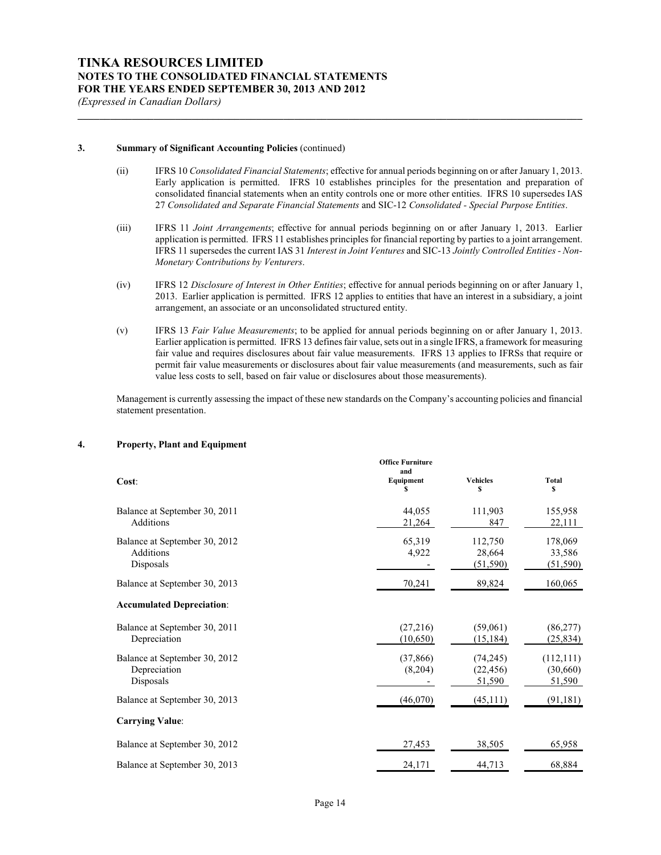#### **3. Summary of Significant Accounting Policies** (continued)

(ii) IFRS 10 *Consolidated Financial Statements*; effective for annual periods beginning on or after January 1, 2013. Early application is permitted. IFRS 10 establishes principles for the presentation and preparation of consolidated financial statements when an entity controls one or more other entities. IFRS 10 supersedes IAS 27 *Consolidated and Separate Financial Statements* and SIC-12 *Consolidated - Special Purpose Entities*.

**\_\_\_\_\_\_\_\_\_\_\_\_\_\_\_\_\_\_\_\_\_\_\_\_\_\_\_\_\_\_\_\_\_\_\_\_\_\_\_\_\_\_\_\_\_\_\_\_\_\_\_\_\_\_\_\_\_\_\_\_\_\_\_\_\_\_\_\_\_\_\_\_\_\_\_\_\_\_\_\_\_\_\_\_\_\_\_\_\_\_\_\_\_**

- (iii) IFRS 11 *Joint Arrangements*; effective for annual periods beginning on or after January 1, 2013. Earlier application is permitted. IFRS 11 establishes principles for financial reporting by parties to a joint arrangement. IFRS 11 supersedes the current IAS 31 *Interest in Joint Ventures* and SIC-13 *Jointly Controlled Entities - Non-Monetary Contributions by Venturers*.
- (iv) IFRS 12 *Disclosure of Interest in Other Entities*; effective for annual periods beginning on or after January 1, 2013. Earlier application is permitted. IFRS 12 applies to entities that have an interest in a subsidiary, a joint arrangement, an associate or an unconsolidated structured entity.
- (v) IFRS 13 *Fair Value Measurements*; to be applied for annual periods beginning on or after January 1, 2013. Earlier application is permitted. IFRS 13 defines fair value, sets out in a single IFRS, a framework for measuring fair value and requires disclosures about fair value measurements. IFRS 13 applies to IFRSs that require or permit fair value measurements or disclosures about fair value measurements (and measurements, such as fair value less costs to sell, based on fair value or disclosures about those measurements).

Management is currently assessing the impact of these new standards on the Company's accounting policies and financial statement presentation.

#### **4. Property, Plant and Equipment**

| Cost:                            | <b>Office Furniture</b><br>and<br>Equipment | <b>Vehicles</b> | <b>Total</b> |
|----------------------------------|---------------------------------------------|-----------------|--------------|
|                                  | S                                           | \$              | s            |
| Balance at September 30, 2011    | 44,055                                      | 111,903         | 155,958      |
| Additions                        | 21,264                                      | 847             | 22,111       |
| Balance at September 30, 2012    | 65,319                                      | 112,750         | 178,069      |
| Additions                        | 4,922                                       | 28,664          | 33,586       |
| Disposals                        |                                             | (51, 590)       | (51, 590)    |
| Balance at September 30, 2013    | 70,241                                      | 89,824          | 160,065      |
| <b>Accumulated Depreciation:</b> |                                             |                 |              |
| Balance at September 30, 2011    | (27,216)                                    | (59,061)        | (86, 277)    |
| Depreciation                     | (10,650)                                    | (15, 184)       | (25, 834)    |
| Balance at September 30, 2012    | (37, 866)                                   | (74, 245)       | (112, 111)   |
| Depreciation                     | (8,204)                                     | (22, 456)       | (30,660)     |
| Disposals                        |                                             | 51,590          | 51,590       |
| Balance at September 30, 2013    | (46,070)                                    | (45,111)        | (91, 181)    |
| <b>Carrying Value:</b>           |                                             |                 |              |
| Balance at September 30, 2012    | 27,453                                      | 38,505          | 65,958       |
| Balance at September 30, 2013    | 24,171                                      | 44,713          | 68,884       |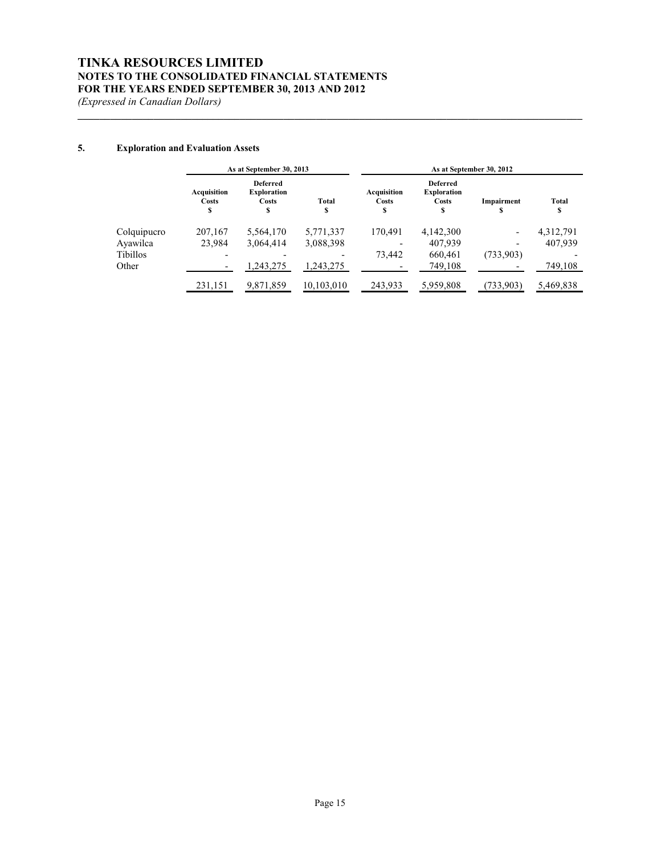# **TINKA RESOURCES LIMITED NOTES TO THE CONSOLIDATED FINANCIAL STATEMENTS FOR THE YEARS ENDED SEPTEMBER 30, 2013 AND 2012**

*(Expressed in Canadian Dollars)*

# **5. Exploration and Evaluation Assets**

|                 | As at September 30, 2013   |                                                             |            | As at September 30, 2012   |                                                     |                          |            |
|-----------------|----------------------------|-------------------------------------------------------------|------------|----------------------------|-----------------------------------------------------|--------------------------|------------|
|                 | Acquisition<br>Costs<br>\$ | <b>Deferred</b><br><b>Exploration</b><br><b>Costs</b><br>\$ | Total<br>S | Acquisition<br>Costs<br>\$ | <b>Deferred</b><br><b>Exploration</b><br>Costs<br>S | Impairment               | Total<br>S |
| Colquipucro     | 207,167                    | 5,564,170                                                   | 5,771,337  | 170.491                    | 4,142,300                                           | $\overline{\phantom{a}}$ | 4,312,791  |
| Ayawilca        | 23.984                     | 3,064,414                                                   | 3,088,398  |                            | 407.939                                             | $\overline{\phantom{0}}$ | 407.939    |
| <b>Tibillos</b> |                            |                                                             |            | 73.442                     | 660.461                                             | (733,903)                |            |
| Other           |                            | .243.275                                                    | 1.243.275  |                            | 749.108                                             |                          | 749,108    |
|                 | 231,151                    | 9,871,859                                                   | 10.103.010 | 243.933                    | 5,959,808                                           | (733,903)                | 5,469,838  |

**\_\_\_\_\_\_\_\_\_\_\_\_\_\_\_\_\_\_\_\_\_\_\_\_\_\_\_\_\_\_\_\_\_\_\_\_\_\_\_\_\_\_\_\_\_\_\_\_\_\_\_\_\_\_\_\_\_\_\_\_\_\_\_\_\_\_\_\_\_\_\_\_\_\_\_\_\_\_\_\_\_\_\_\_\_\_\_\_\_\_\_\_\_**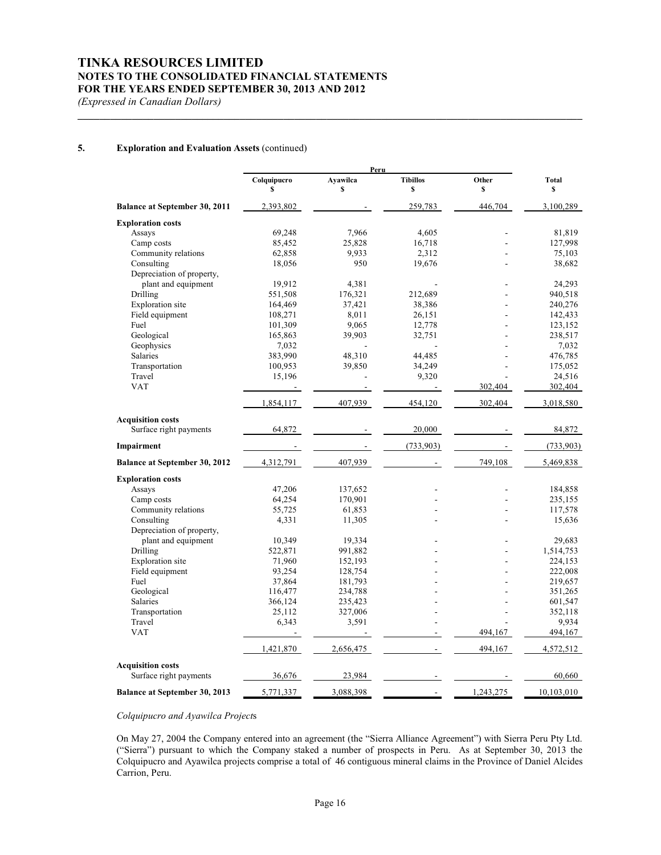# **TINKA RESOURCES LIMITED NOTES TO THE CONSOLIDATED FINANCIAL STATEMENTS FOR THE YEARS ENDED SEPTEMBER 30, 2013 AND 2012**

*(Expressed in Canadian Dollars)*

# **5. Exploration and Evaluation Assets** (continued)

|                                      |                   | Peru           |                          |             |                    |
|--------------------------------------|-------------------|----------------|--------------------------|-------------|--------------------|
|                                      | Colquipucro<br>\$ | Ayawilca<br>\$ | <b>Tibillos</b><br>\$    | Other<br>\$ | <b>Total</b><br>\$ |
| Balance at September 30, 2011        | 2,393,802         |                | 259,783                  | 446,704     | 3,100,289          |
| <b>Exploration costs</b>             |                   |                |                          |             |                    |
| Assays                               | 69,248            | 7,966          | 4,605                    |             | 81,819             |
| Camp costs                           | 85,452            | 25,828         | 16,718                   |             | 127,998            |
| Community relations                  | 62,858            | 9,933          | 2,312                    |             | 75,103             |
| Consulting                           | 18,056            | 950            | 19,676                   |             | 38,682             |
| Depreciation of property,            |                   |                |                          |             |                    |
| plant and equipment                  | 19,912            | 4,381          |                          |             | 24,293             |
| Drilling                             | 551,508           | 176,321        | 212,689                  |             | 940,518            |
| <b>Exploration</b> site              | 164,469           | 37,421         | 38,386                   |             | 240,276            |
| Field equipment                      | 108,271           | 8,011          | 26,151                   |             | 142,433            |
| Fuel                                 | 101,309           | 9,065          | 12,778                   |             | 123,152            |
| Geological                           | 165,863           | 39,903         | 32,751                   |             | 238,517            |
| Geophysics                           | 7,032             |                |                          |             | 7,032              |
| Salaries                             | 383,990           | 48,310         | 44,485                   |             | 476,785            |
| Transportation                       | 100,953           | 39,850         | 34,249                   |             | 175,052            |
| Travel                               | 15,196            |                | 9,320                    |             | 24,516             |
| <b>VAT</b>                           |                   |                |                          | 302,404     | 302,404            |
|                                      | 1,854,117         | 407,939        | 454,120                  | 302,404     | 3,018,580          |
| <b>Acquisition costs</b>             |                   |                |                          |             |                    |
| Surface right payments               | 64,872            |                | 20,000                   |             | 84,872             |
| Impairment                           |                   |                | (733, 903)               |             | (733, 903)         |
| <b>Balance at September 30, 2012</b> | 4,312,791         | 407,939        |                          | 749,108     | 5,469,838          |
| <b>Exploration costs</b>             |                   |                |                          |             |                    |
| Assays                               | 47,206            | 137,652        |                          |             | 184,858            |
| Camp costs                           | 64,254            | 170,901        |                          |             | 235,155            |
| Community relations                  | 55,725            | 61,853         | $\overline{\phantom{a}}$ |             | 117,578            |
| Consulting                           | 4,331             | 11,305         |                          |             | 15,636             |
| Depreciation of property,            |                   |                |                          |             |                    |
| plant and equipment                  | 10,349            | 19,334         |                          |             | 29,683             |
| Drilling                             | 522,871           | 991,882        |                          |             | 1,514,753          |
| <b>Exploration</b> site              | 71,960            | 152,193        |                          |             | 224,153            |
| Field equipment                      | 93,254            | 128,754        |                          |             | 222,008            |
| Fuel                                 | 37,864            | 181,793        |                          |             | 219,657            |
| Geological                           | 116,477           | 234,788        |                          |             | 351,265            |
| <b>Salaries</b>                      | 366,124           | 235,423        |                          |             | 601,547            |
| Transportation                       | 25,112            | 327,006        |                          |             | 352,118            |
| Travel                               | 6,343             | 3,591          | ÷.                       |             | 9,934              |
| <b>VAT</b>                           |                   |                |                          | 494,167     | 494,167            |
|                                      | 1,421,870         | 2,656,475      |                          | 494,167     | 4,572,512          |
| <b>Acquisition costs</b>             |                   |                |                          |             |                    |
| Surface right payments               | 36,676            | 23,984         |                          |             | 60,660             |
| Balance at September 30, 2013        | 5,771,337         | 3,088,398      |                          | 1,243,275   | 10,103,010         |

**\_\_\_\_\_\_\_\_\_\_\_\_\_\_\_\_\_\_\_\_\_\_\_\_\_\_\_\_\_\_\_\_\_\_\_\_\_\_\_\_\_\_\_\_\_\_\_\_\_\_\_\_\_\_\_\_\_\_\_\_\_\_\_\_\_\_\_\_\_\_\_\_\_\_\_\_\_\_\_\_\_\_\_\_\_\_\_\_\_\_\_\_\_**

# *Colquipucro and Ayawilca Project*s

On May 27, 2004 the Company entered into an agreement (the "Sierra Alliance Agreement") with Sierra Peru Pty Ltd. ("Sierra") pursuant to which the Company staked a number of prospects in Peru. As at September 30, 2013 the Colquipucro and Ayawilca projects comprise a total of 46 contiguous mineral claims in the Province of Daniel Alcides Carrion, Peru.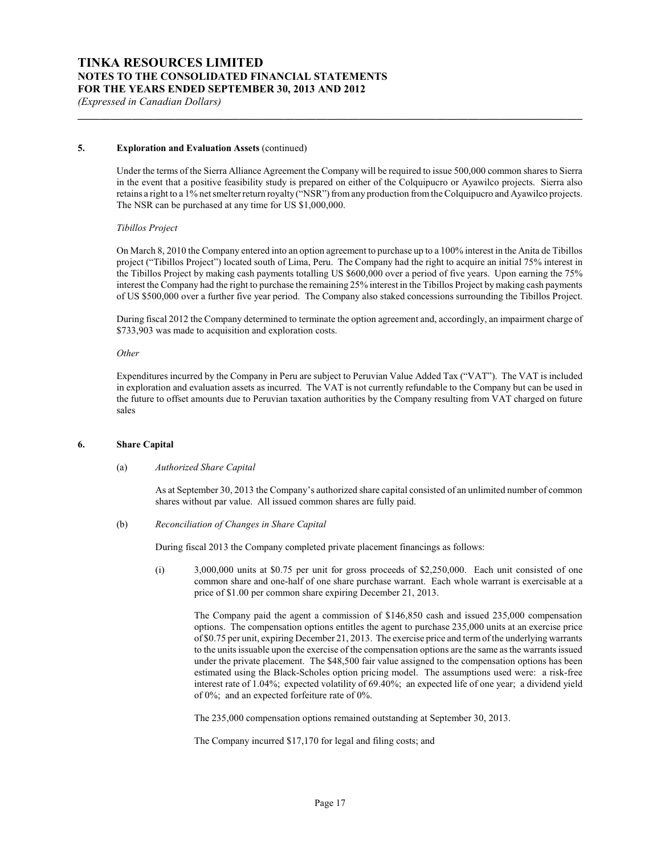# **5. Exploration and Evaluation Assets** (continued)

Under the terms of the Sierra Alliance Agreement the Company will be required to issue 500,000 common shares to Sierra in the event that a positive feasibility study is prepared on either of the Colquipucro or Ayawilco projects. Sierra also retains a right to a 1% net smelter return royalty ("NSR") from any production from the Colquipucro and Ayawilco projects. The NSR can be purchased at any time for US \$1,000,000.

**\_\_\_\_\_\_\_\_\_\_\_\_\_\_\_\_\_\_\_\_\_\_\_\_\_\_\_\_\_\_\_\_\_\_\_\_\_\_\_\_\_\_\_\_\_\_\_\_\_\_\_\_\_\_\_\_\_\_\_\_\_\_\_\_\_\_\_\_\_\_\_\_\_\_\_\_\_\_\_\_\_\_\_\_\_\_\_\_\_\_\_\_\_**

#### *Tibillos Project*

On March 8, 2010 the Company entered into an option agreement to purchase up to a 100% interest in the Anita de Tibillos project ("Tibillos Project") located south of Lima, Peru. The Company had the right to acquire an initial 75% interest in the Tibillos Project by making cash payments totalling US \$600,000 over a period of five years. Upon earning the 75% interest the Company had the right to purchase the remaining 25% interest in the Tibillos Project by making cash payments of US \$500,000 over a further five year period. The Company also staked concessions surrounding the Tibillos Project.

During fiscal 2012 the Company determined to terminate the option agreement and, accordingly, an impairment charge of \$733,903 was made to acquisition and exploration costs.

#### *Other*

Expenditures incurred by the Company in Peru are subject to Peruvian Value Added Tax ("VAT"). The VAT is included in exploration and evaluation assets as incurred. The VAT is not currently refundable to the Company but can be used in the future to offset amounts due to Peruvian taxation authorities by the Company resulting from VAT charged on future sales

#### **6. Share Capital**

#### (a) *Authorized Share Capital*

As at September 30, 2013 the Company's authorized share capital consisted of an unlimited number of common shares without par value. All issued common shares are fully paid.

#### (b) *Reconciliation of Changes in Share Capital*

During fiscal 2013 the Company completed private placement financings as follows:

(i) 3,000,000 units at \$0.75 per unit for gross proceeds of \$2,250,000. Each unit consisted of one common share and one-half of one share purchase warrant. Each whole warrant is exercisable at a price of \$1.00 per common share expiring December 21, 2013.

The Company paid the agent a commission of \$146,850 cash and issued 235,000 compensation options. The compensation options entitles the agent to purchase 235,000 units at an exercise price of \$0.75 per unit, expiring December 21, 2013. The exercise price and termof the underlying warrants to the units issuable upon the exercise of the compensation options are the same as the warrants issued under the private placement. The \$48,500 fair value assigned to the compensation options has been estimated using the Black-Scholes option pricing model. The assumptions used were: a risk-free interest rate of 1.04%; expected volatility of 69.40%; an expected life of one year; a dividend yield of 0%; and an expected forfeiture rate of 0%.

The 235,000 compensation options remained outstanding at September 30, 2013.

The Company incurred \$17,170 for legal and filing costs; and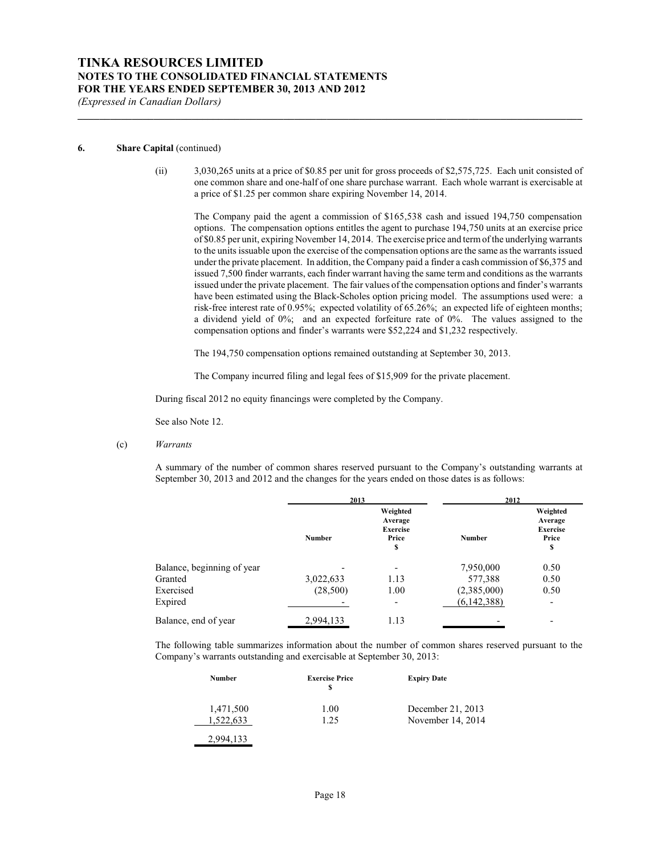#### **6. Share Capital** (continued)

(ii) 3,030,265 units at a price of \$0.85 per unit for gross proceeds of \$2,575,725. Each unit consisted of one common share and one-half of one share purchase warrant. Each whole warrant is exercisable at a price of \$1.25 per common share expiring November 14, 2014.

**\_\_\_\_\_\_\_\_\_\_\_\_\_\_\_\_\_\_\_\_\_\_\_\_\_\_\_\_\_\_\_\_\_\_\_\_\_\_\_\_\_\_\_\_\_\_\_\_\_\_\_\_\_\_\_\_\_\_\_\_\_\_\_\_\_\_\_\_\_\_\_\_\_\_\_\_\_\_\_\_\_\_\_\_\_\_\_\_\_\_\_\_\_**

The Company paid the agent a commission of \$165,538 cash and issued 194,750 compensation options. The compensation options entitles the agent to purchase 194,750 units at an exercise price of \$0.85 per unit, expiring November 14, 2014. The exercise price and termof the underlying warrants to the units issuable upon the exercise of the compensation options are the same as the warrants issued under the private placement. In addition, the Company paid a finder a cash commission of \$6,375 and issued 7,500 finder warrants, each finder warrant having the same term and conditions as the warrants issued under the private placement. The fair values of the compensation options and finder's warrants have been estimated using the Black-Scholes option pricing model. The assumptions used were: a risk-free interest rate of 0.95%; expected volatility of 65.26%; an expected life of eighteen months; a dividend yield of 0%; and an expected forfeiture rate of 0%. The values assigned to the compensation options and finder's warrants were \$52,224 and \$1,232 respectively.

The 194,750 compensation options remained outstanding at September 30, 2013.

The Company incurred filing and legal fees of \$15,909 for the private placement.

During fiscal 2012 no equity financings were completed by the Company.

See also Note 12.

(c) *Warrants*

A summary of the number of common shares reserved pursuant to the Company's outstanding warrants at September 30, 2013 and 2012 and the changes for the years ended on those dates is as follows:

|                            | 2013          |                                                       | 2012          |                                                       |
|----------------------------|---------------|-------------------------------------------------------|---------------|-------------------------------------------------------|
|                            | <b>Number</b> | Weighted<br>Average<br><b>Exercise</b><br>Price<br>\$ | <b>Number</b> | Weighted<br>Average<br><b>Exercise</b><br>Price<br>\$ |
| Balance, beginning of year |               | $\overline{\phantom{a}}$                              | 7,950,000     | 0.50                                                  |
| Granted                    | 3,022,633     | 1.13                                                  | 577,388       | 0.50                                                  |
| Exercised                  | (28,500)      | 1.00                                                  | (2,385,000)   | 0.50                                                  |
| Expired                    |               | ۰                                                     | (6,142,388)   |                                                       |
| Balance, end of year       | 2,994,133     | 1.13                                                  |               |                                                       |

The following table summarizes information about the number of common shares reserved pursuant to the Company's warrants outstanding and exercisable at September 30, 2013:

| Number    | <b>Exercise Price</b> | <b>Expiry Date</b> |
|-----------|-----------------------|--------------------|
| 1,471,500 | 1.00                  | December 21, 2013  |
| 1.522.633 | 1.25                  | November 14, 2014  |
| 133       |                       |                    |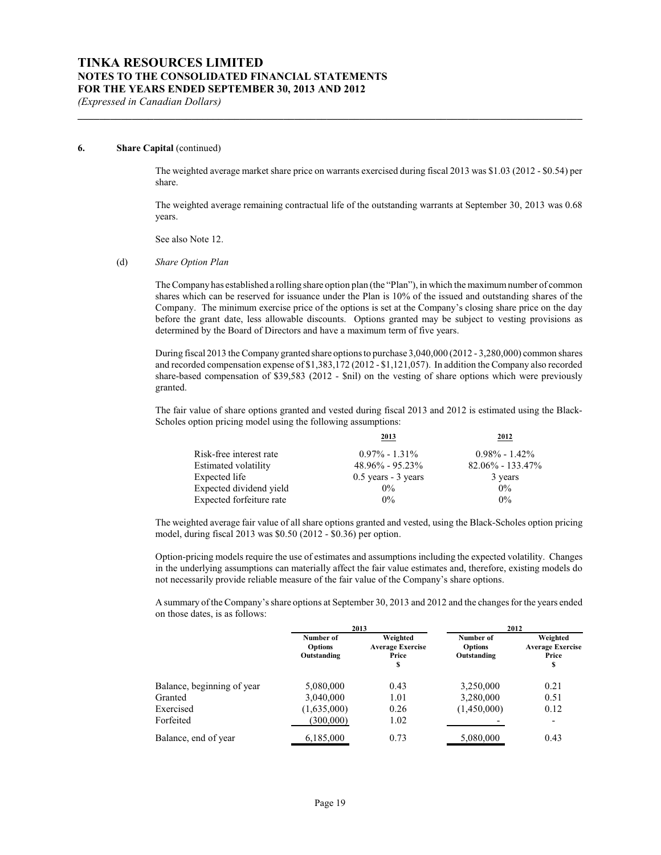#### **6. Share Capital** (continued)

The weighted average market share price on warrants exercised during fiscal 2013 was \$1.03 (2012 - \$0.54) per share.

**\_\_\_\_\_\_\_\_\_\_\_\_\_\_\_\_\_\_\_\_\_\_\_\_\_\_\_\_\_\_\_\_\_\_\_\_\_\_\_\_\_\_\_\_\_\_\_\_\_\_\_\_\_\_\_\_\_\_\_\_\_\_\_\_\_\_\_\_\_\_\_\_\_\_\_\_\_\_\_\_\_\_\_\_\_\_\_\_\_\_\_\_\_**

The weighted average remaining contractual life of the outstanding warrants at September 30, 2013 was 0.68 years.

See also Note 12.

#### (d) *Share Option Plan*

The Company has established a rolling share option plan (the "Plan"), in which the maximum number of common shares which can be reserved for issuance under the Plan is 10% of the issued and outstanding shares of the Company. The minimum exercise price of the options is set at the Company's closing share price on the day before the grant date, less allowable discounts. Options granted may be subject to vesting provisions as determined by the Board of Directors and have a maximum term of five years.

During fiscal 2013 the Company granted share options to purchase 3,040,000 (2012 - 3,280,000) common shares and recorded compensation expense of \$1,383,172 (2012 - \$1,121,057). In addition the Company also recorded share-based compensation of \$39,583 (2012 - \$nil) on the vesting of share options which were previously granted.

The fair value of share options granted and vested during fiscal 2013 and 2012 is estimated using the Black-Scholes option pricing model using the following assumptions:

|                          | 2013                  | 2012                 |
|--------------------------|-----------------------|----------------------|
| Risk-free interest rate  | $0.97\% - 1.31\%$     | $0.98\% - 1.42\%$    |
| Estimated volatility     | $48.96\% - 95.23\%$   | $82.06\% - 133.47\%$ |
| Expected life            | $0.5$ years - 3 years | 3 years              |
| Expected dividend yield  | $0\%$                 | $0\%$                |
| Expected forfeiture rate | $0\%$                 | $0\%$                |

The weighted average fair value of all share options granted and vested, using the Black-Scholes option pricing model, during fiscal 2013 was \$0.50 (2012 - \$0.36) per option.

Option-pricing models require the use of estimates and assumptions including the expected volatility. Changes in the underlying assumptions can materially affect the fair value estimates and, therefore, existing models do not necessarily provide reliable measure of the fair value of the Company's share options.

A summary of the Company'sshare options at September 30, 2013 and 2012 and the changes for the years ended on those dates, is as follows:

|                            |                                            | 2013                                              | 2012                                       |                                                    |  |
|----------------------------|--------------------------------------------|---------------------------------------------------|--------------------------------------------|----------------------------------------------------|--|
|                            | Number of<br><b>Options</b><br>Outstanding | Weighted<br><b>Average Exercise</b><br>Price<br>S | Number of<br><b>Options</b><br>Outstanding | Weighted<br><b>Average Exercise</b><br>Price<br>\$ |  |
| Balance, beginning of year | 5,080,000                                  | 0.43                                              | 3,250,000                                  | 0.21                                               |  |
| Granted                    | 3,040,000                                  | 1.01                                              | 3,280,000                                  | 0.51                                               |  |
| Exercised                  | (1,635,000)                                | 0.26                                              | (1,450,000)                                | 0.12                                               |  |
| Forfeited                  | (300,000)                                  | 1.02                                              |                                            | -                                                  |  |
| Balance, end of year       | 6,185,000                                  | 0.73                                              | 5,080,000                                  | 0.43                                               |  |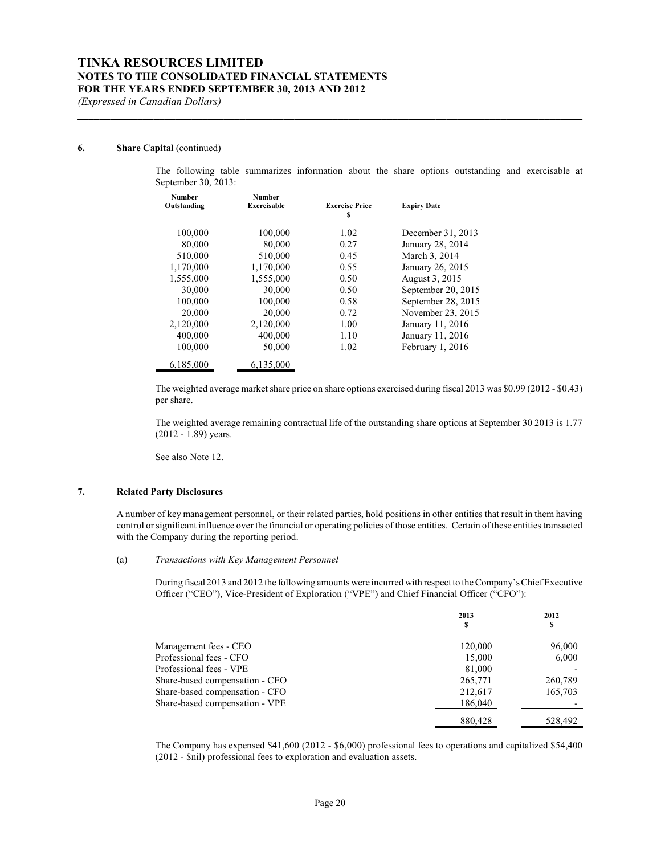#### **6. Share Capital** (continued)

The following table summarizes information about the share options outstanding and exercisable at September 30, 2013:

| <b>Number</b><br>Outstanding | Number<br><b>Exercisable</b> | <b>Exercise Price</b> | <b>Expiry Date</b> |
|------------------------------|------------------------------|-----------------------|--------------------|
|                              |                              | S                     |                    |
| 100,000                      | 100,000                      | 1.02                  | December 31, 2013  |
| 80,000                       | 80.000                       | 0.27                  | January 28, 2014   |
| 510,000                      | 510,000                      | 0.45                  | March 3, 2014      |
| 1,170,000                    | 1,170,000                    | 0.55                  | January 26, 2015   |
| 1,555,000                    | 1,555,000                    | 0.50                  | August 3, 2015     |
| 30,000                       | 30,000                       | 0.50                  | September 20, 2015 |
| 100,000                      | 100,000                      | 0.58                  | September 28, 2015 |
| 20,000                       | 20,000                       | 0.72                  | November 23, 2015  |
| 2,120,000                    | 2.120.000                    | 1.00                  | January 11, 2016   |
| 400,000                      | 400,000                      | 1.10                  | January 11, 2016   |
| 100,000                      | 50,000                       | 1.02                  | February 1, 2016   |
| 6,185,000                    | 6.135,000                    |                       |                    |

**\_\_\_\_\_\_\_\_\_\_\_\_\_\_\_\_\_\_\_\_\_\_\_\_\_\_\_\_\_\_\_\_\_\_\_\_\_\_\_\_\_\_\_\_\_\_\_\_\_\_\_\_\_\_\_\_\_\_\_\_\_\_\_\_\_\_\_\_\_\_\_\_\_\_\_\_\_\_\_\_\_\_\_\_\_\_\_\_\_\_\_\_\_**

The weighted average market share price on share options exercised during fiscal 2013 was \$0.99 (2012 - \$0.43) per share.

The weighted average remaining contractual life of the outstanding share options at September 30 2013 is 1.77 (2012 - 1.89) years.

See also Note 12.

### **7. Related Party Disclosures**

A number of key management personnel, or their related parties, hold positions in other entities that result in them having control or significant influence over the financial or operating policies of those entities. Certain of these entities transacted with the Company during the reporting period.

## (a) *Transactions with Key Management Personnel*

During fiscal 2013 and 2012 the following amounts were incurred with respect to the Company's Chief Executive Officer ("CEO"), Vice-President of Exploration ("VPE") and Chief Financial Officer ("CFO"):

|                                | 2013<br>\$ | 2012<br>S |
|--------------------------------|------------|-----------|
| Management fees - CEO          | 120,000    | 96,000    |
| Professional fees - CFO        | 15,000     | 6,000     |
| Professional fees - VPE        | 81,000     |           |
| Share-based compensation - CEO | 265,771    | 260,789   |
| Share-based compensation - CFO | 212,617    | 165,703   |
| Share-based compensation - VPE | 186,040    |           |
|                                | 880,428    | 528,492   |

The Company has expensed \$41,600 (2012 - \$6,000) professional fees to operations and capitalized \$54,400 (2012 - \$nil) professional fees to exploration and evaluation assets.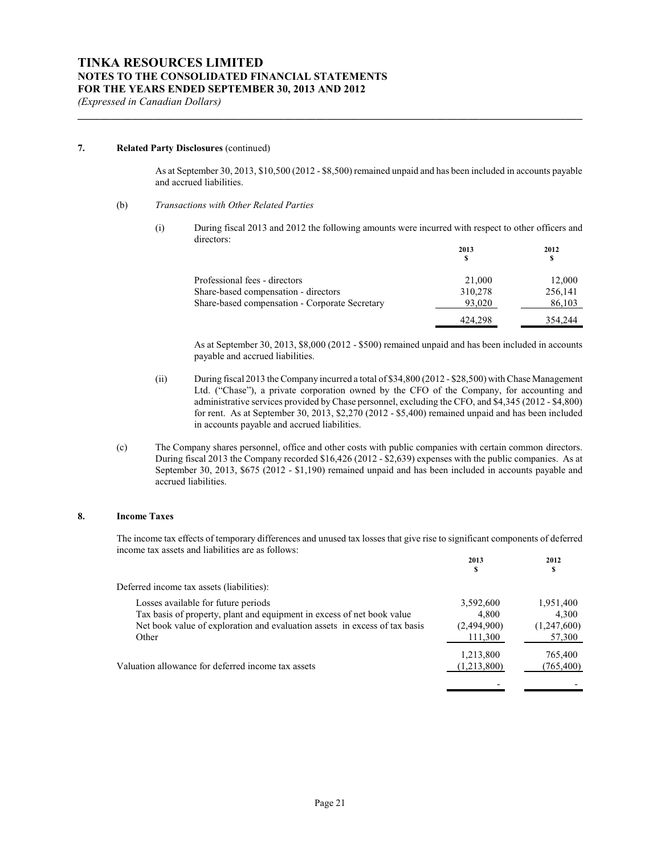#### **7. Related Party Disclosures** (continued)

As at September 30, 2013, \$10,500 (2012 - \$8,500) remained unpaid and has been included in accounts payable and accrued liabilities.

**\_\_\_\_\_\_\_\_\_\_\_\_\_\_\_\_\_\_\_\_\_\_\_\_\_\_\_\_\_\_\_\_\_\_\_\_\_\_\_\_\_\_\_\_\_\_\_\_\_\_\_\_\_\_\_\_\_\_\_\_\_\_\_\_\_\_\_\_\_\_\_\_\_\_\_\_\_\_\_\_\_\_\_\_\_\_\_\_\_\_\_\_\_**

- (b) *Transactions with Other Related Parties*
	- (i) During fiscal 2013 and 2012 the following amounts were incurred with respect to other officers and directors: **2013 2012**

|                                                | 2013<br>S | 2012<br>S |
|------------------------------------------------|-----------|-----------|
| Professional fees - directors                  | 21,000    | 12,000    |
| Share-based compensation - directors           | 310,278   | 256,141   |
| Share-based compensation - Corporate Secretary | 93,020    | 86,103    |
|                                                | 424.298   | 354,244   |

As at September 30, 2013, \$8,000 (2012 - \$500) remained unpaid and has been included in accounts payable and accrued liabilities.

- (ii) During fiscal 2013 the Company incurred a total of \$34,800 (2012 \$28,500) with Chase Management Ltd. ("Chase"), a private corporation owned by the CFO of the Company, for accounting and administrative services provided byChase personnel, excluding the CFO, and \$4,345 (2012 - \$4,800) for rent. As at September 30, 2013, \$2,270 (2012 - \$5,400) remained unpaid and has been included in accounts payable and accrued liabilities.
- (c) The Company shares personnel, office and other costs with public companies with certain common directors. During fiscal 2013 the Company recorded \$16,426 (2012 - \$2,639) expenses with the public companies. As at September 30, 2013, \$675 (2012 - \$1,190) remained unpaid and has been included in accounts payable and accrued liabilities.

### **8. Income Taxes**

The income tax effects of temporary differences and unused tax losses that give rise to significant components of deferred income tax assets and liabilities are as follows: **2012**

|                                                                                                                                                                                                      | 2013<br>S                                    | 2012<br>s                                   |
|------------------------------------------------------------------------------------------------------------------------------------------------------------------------------------------------------|----------------------------------------------|---------------------------------------------|
| Deferred income tax assets (liabilities):                                                                                                                                                            |                                              |                                             |
| Losses available for future periods<br>Tax basis of property, plant and equipment in excess of net book value<br>Net book value of exploration and evaluation assets in excess of tax basis<br>Other | 3,592,600<br>4.800<br>(2,494,900)<br>111,300 | 1,951,400<br>4.300<br>(1,247,600)<br>57,300 |
| Valuation allowance for deferred income tax assets                                                                                                                                                   | 1,213,800<br>(1,213,800)                     | 765,400<br>(765, 400)                       |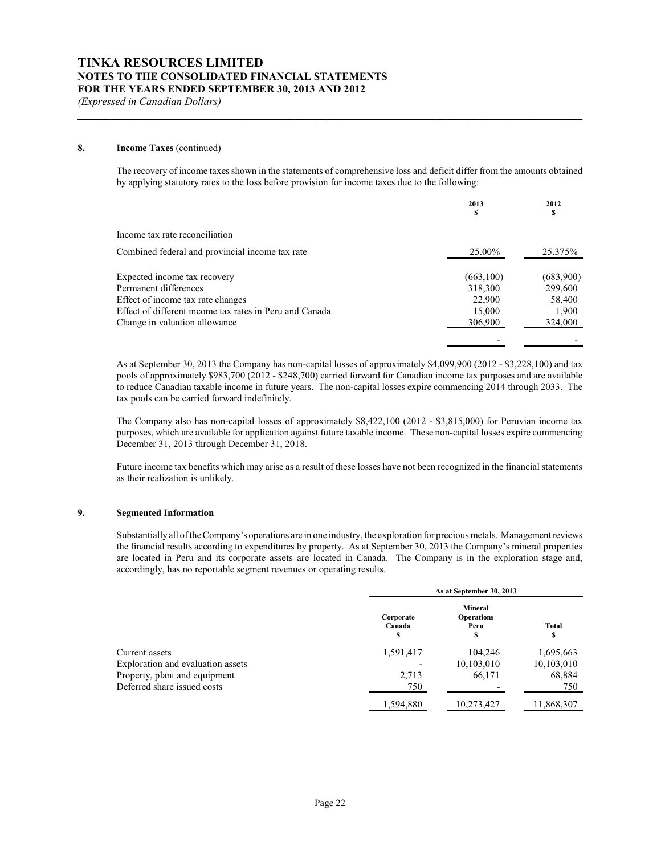#### **8. Income Taxes** (continued)

The recovery of income taxes shown in the statements of comprehensive loss and deficit differ from the amounts obtained by applying statutory rates to the loss before provision for income taxes due to the following:

**\_\_\_\_\_\_\_\_\_\_\_\_\_\_\_\_\_\_\_\_\_\_\_\_\_\_\_\_\_\_\_\_\_\_\_\_\_\_\_\_\_\_\_\_\_\_\_\_\_\_\_\_\_\_\_\_\_\_\_\_\_\_\_\_\_\_\_\_\_\_\_\_\_\_\_\_\_\_\_\_\_\_\_\_\_\_\_\_\_\_\_\_\_**

|                                                         | 2013<br>S | 2012<br>s |
|---------------------------------------------------------|-----------|-----------|
| Income tax rate reconciliation                          |           |           |
| Combined federal and provincial income tax rate         | 25.00%    | 25.375%   |
| Expected income tax recovery                            | (663,100) | (683,900) |
| Permanent differences                                   | 318,300   | 299,600   |
| Effect of income tax rate changes                       | 22,900    | 58,400    |
| Effect of different income tax rates in Peru and Canada | 15,000    | 1,900     |
| Change in valuation allowance                           | 306,900   | 324,000   |
|                                                         |           |           |

As at September 30, 2013 the Company has non-capital losses of approximately \$4,099,900 (2012 - \$3,228,100) and tax pools of approximately \$983,700 (2012 - \$248,700) carried forward for Canadian income tax purposes and are available to reduce Canadian taxable income in future years. The non-capital losses expire commencing 2014 through 2033. The tax pools can be carried forward indefinitely.

The Company also has non-capital losses of approximately \$8,422,100 (2012 - \$3,815,000) for Peruvian income tax purposes, which are available for application against future taxable income. These non-capital losses expire commencing December 31, 2013 through December 31, 2018.

Future income tax benefits which may arise as a result of these losses have not been recognized in the financial statements as their realization is unlikely.

#### **9. Segmented Information**

Substantially all of the Company's operations are in one industry, the exploration for precious metals. Management reviews the financial results according to expenditures by property. As at September 30, 2013 the Company's mineral properties are located in Peru and its corporate assets are located in Canada. The Company is in the exploration stage and, accordingly, has no reportable segment revenues or operating results.

|                                   |                          | As at September 30, 2013                         |             |  |  |
|-----------------------------------|--------------------------|--------------------------------------------------|-------------|--|--|
|                                   | Corporate<br>Canada<br>S | <b>Mineral</b><br><b>Operations</b><br>Peru<br>s | Total<br>\$ |  |  |
| Current assets                    | 1,591,417                | 104.246                                          | 1,695,663   |  |  |
| Exploration and evaluation assets |                          | 10,103,010                                       | 10,103,010  |  |  |
| Property, plant and equipment     | 2,713                    | 66,171                                           | 68,884      |  |  |
| Deferred share issued costs       | 750                      |                                                  | 750         |  |  |
|                                   | 1,594,880                | 10,273,427                                       | 11,868,307  |  |  |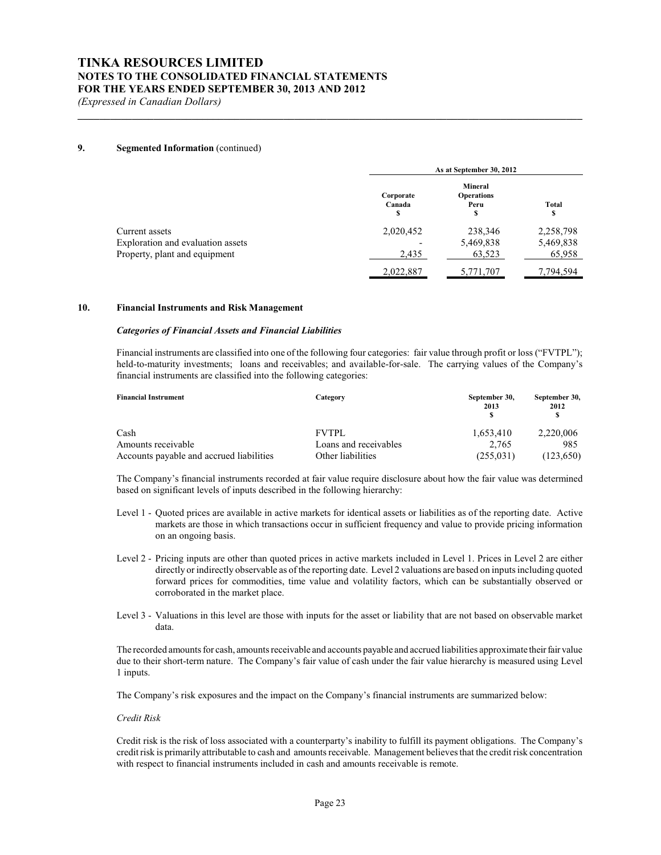#### **9. Segmented Information** (continued)

|                                   |                          | As at September 30, 2012                          |             |  |  |
|-----------------------------------|--------------------------|---------------------------------------------------|-------------|--|--|
|                                   | Corporate<br>Canada<br>S | <b>Mineral</b><br><b>Operations</b><br>Peru<br>\$ | Total<br>\$ |  |  |
| Current assets                    | 2,020,452                | 238,346                                           | 2,258,798   |  |  |
| Exploration and evaluation assets |                          | 5,469,838                                         | 5,469,838   |  |  |
| Property, plant and equipment     | 2,435                    | 63,523                                            | 65,958      |  |  |
|                                   | 2,022,887                | 5,771,707                                         | 7,794,594   |  |  |

**\_\_\_\_\_\_\_\_\_\_\_\_\_\_\_\_\_\_\_\_\_\_\_\_\_\_\_\_\_\_\_\_\_\_\_\_\_\_\_\_\_\_\_\_\_\_\_\_\_\_\_\_\_\_\_\_\_\_\_\_\_\_\_\_\_\_\_\_\_\_\_\_\_\_\_\_\_\_\_\_\_\_\_\_\_\_\_\_\_\_\_\_\_**

### **10. Financial Instruments and Risk Management**

#### *Categories of Financial Assets and Financial Liabilities*

Financial instruments are classified into one of the following four categories: fair value through profit or loss ("FVTPL"); held-to-maturity investments; loans and receivables; and available-for-sale. The carrying values of the Company's financial instruments are classified into the following categories:

| <b>Financial Instrument</b>              | Category              | September 30,<br>2013 | September 30,<br>2012 |
|------------------------------------------|-----------------------|-----------------------|-----------------------|
| Cash                                     | <b>FVTPL</b>          | 1.653.410             | 2,220,006             |
| Amounts receivable                       | Loans and receivables | 2.765                 | 985                   |
| Accounts payable and accrued liabilities | Other liabilities     | (255, 031)            | (123, 650)            |

The Company's financial instruments recorded at fair value require disclosure about how the fair value was determined based on significant levels of inputs described in the following hierarchy:

- Level 1 Quoted prices are available in active markets for identical assets or liabilities as of the reporting date. Active markets are those in which transactions occur in sufficient frequency and value to provide pricing information on an ongoing basis.
- Level 2 Pricing inputs are other than quoted prices in active markets included in Level 1. Prices in Level 2 are either directly or indirectly observable as of the reporting date. Level 2 valuations are based on inputs including quoted forward prices for commodities, time value and volatility factors, which can be substantially observed or corroborated in the market place.
- Level 3 Valuations in this level are those with inputs for the asset or liability that are not based on observable market data.

The recorded amounts for cash, amounts receivable and accounts payable and accrued liabilities approximate their fair value due to their short-term nature. The Company's fair value of cash under the fair value hierarchy is measured using Level 1 inputs.

The Company's risk exposures and the impact on the Company's financial instruments are summarized below:

#### *Credit Risk*

Credit risk is the risk of loss associated with a counterparty's inability to fulfill its payment obligations. The Company's credit risk is primarily attributable to cash and amounts receivable. Management believes that the credit risk concentration with respect to financial instruments included in cash and amounts receivable is remote.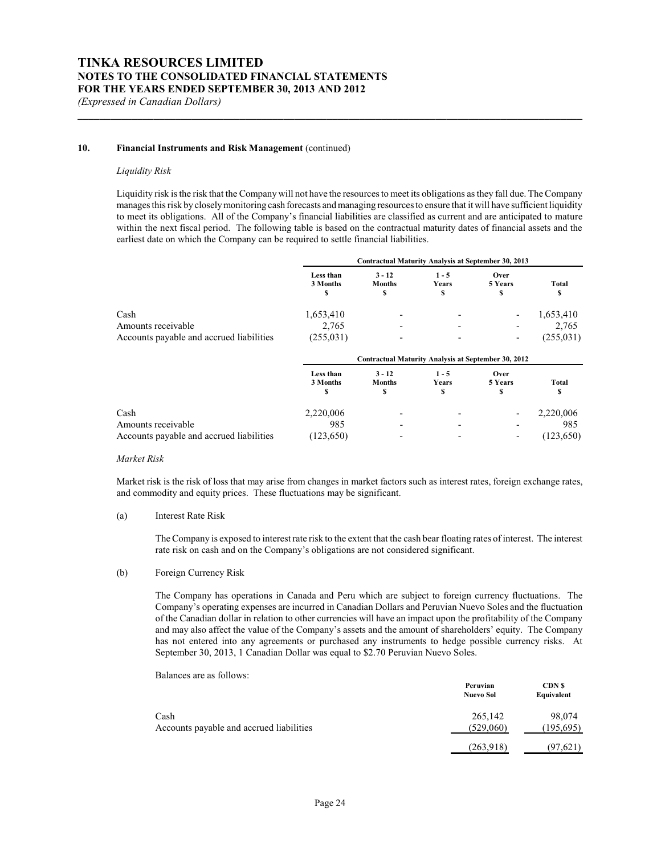#### 10. **Financial Instruments and Risk Management** (continued)

#### *Liquidity Risk*

Liquidity risk is the risk that the Company will not have the resources to meet its obligations as they fall due. The Company manages this risk by closelymonitoring cash forecasts and managing resources to ensure that it will have sufficient liquidity to meet its obligations. All of the Company's financial liabilities are classified as current and are anticipated to mature within the next fiscal period. The following table is based on the contractual maturity dates of financial assets and the earliest date on which the Company can be required to settle financial liabilities.

**\_\_\_\_\_\_\_\_\_\_\_\_\_\_\_\_\_\_\_\_\_\_\_\_\_\_\_\_\_\_\_\_\_\_\_\_\_\_\_\_\_\_\_\_\_\_\_\_\_\_\_\_\_\_\_\_\_\_\_\_\_\_\_\_\_\_\_\_\_\_\_\_\_\_\_\_\_\_\_\_\_\_\_\_\_\_\_\_\_\_\_\_\_**

|                                          | Contractual Maturity Analysis at September 30, 2013 |                                                     |                        |                          |            |
|------------------------------------------|-----------------------------------------------------|-----------------------------------------------------|------------------------|--------------------------|------------|
|                                          | Less than<br>3 Months<br>s                          | $3 - 12$<br><b>Months</b><br>S                      | $1 - 5$<br>Years<br>\$ | Over<br>5 Years<br>S     | Total      |
| Cash                                     | 1,653,410                                           |                                                     |                        | $\overline{\phantom{a}}$ | 1,653,410  |
| Amounts receivable                       | 2,765                                               |                                                     |                        | $\overline{\phantom{a}}$ | 2,765      |
| Accounts payable and accrued liabilities | (255, 031)                                          |                                                     |                        | ٠                        | (255, 031) |
|                                          |                                                     | Contractual Maturity Analysis at September 30, 2012 |                        |                          |            |
|                                          | Less than<br>3 Months<br>¢                          | $3 - 12$<br><b>Months</b><br>¢                      | $1 - 5$<br>Years<br>€  | Over<br>5 Years<br>€     | Total<br>¢ |

| Cash                                     | 2.220,006 | $\overline{\phantom{0}}$ | $\overline{\phantom{0}}$ | $\overline{\phantom{a}}$ | 2.220,006 |
|------------------------------------------|-----------|--------------------------|--------------------------|--------------------------|-----------|
| Amounts receivable                       | 985       | $\overline{\phantom{0}}$ | $\overline{\phantom{0}}$ | $\overline{\phantom{0}}$ | 985       |
| Accounts payable and accrued liabilities | 123,650)  |                          | $\overline{\phantom{0}}$ | $\overline{\phantom{a}}$ | 123,650)  |

#### *Market Risk*

Market risk is the risk of loss that may arise from changes in market factors such as interest rates, foreign exchange rates, and commodity and equity prices. These fluctuations may be significant.

#### (a) Interest Rate Risk

The Company is exposed to interest rate risk to the extent that the cash bear floating rates of interest. The interest rate risk on cash and on the Company's obligations are not considered significant.

#### (b) Foreign Currency Risk

The Company has operations in Canada and Peru which are subject to foreign currency fluctuations. The Company's operating expenses are incurred in Canadian Dollars and Peruvian Nuevo Soles and the fluctuation of the Canadian dollar in relation to other currencies will have an impact upon the profitability of the Company and may also affect the value of the Company's assets and the amount of shareholders' equity. The Company has not entered into any agreements or purchased any instruments to hedge possible currency risks. At September 30, 2013, 1 Canadian Dollar was equal to \$2.70 Peruvian Nuevo Soles.

Balances are as follows: **Peruvian Nuevo Sol CDN \$ Equivalent** Cash 265,142 98,074 Accounts payable and accrued liabilities (529,060) (195,695) (263,918) (97,621)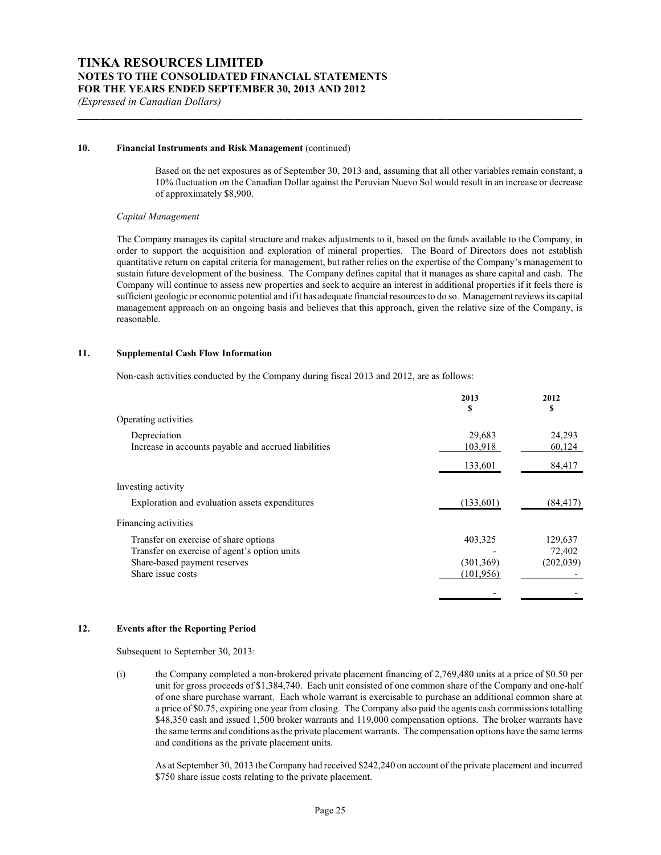### **10. Financial Instruments and Risk Management** (continued)

Based on the net exposures as of September 30, 2013 and, assuming that all other variables remain constant, a 10% fluctuation on the Canadian Dollar against the Peruvian Nuevo Sol would result in an increase or decrease of approximately \$8,900.

**\_\_\_\_\_\_\_\_\_\_\_\_\_\_\_\_\_\_\_\_\_\_\_\_\_\_\_\_\_\_\_\_\_\_\_\_\_\_\_\_\_\_\_\_\_\_\_\_\_\_\_\_\_\_\_\_\_\_\_\_\_\_\_\_\_\_\_\_\_\_\_\_\_\_\_\_\_\_\_\_\_\_\_\_\_\_\_\_\_\_\_\_\_**

#### *Capital Management*

The Company manages its capital structure and makes adjustments to it, based on the funds available to the Company, in order to support the acquisition and exploration of mineral properties. The Board of Directors does not establish quantitative return on capital criteria for management, but rather relies on the expertise of the Company's management to sustain future development of the business. The Company defines capital that it manages as share capital and cash. The Company will continue to assess new properties and seek to acquire an interest in additional properties if it feels there is sufficient geologic or economic potential and if it has adequate financial resources to do so. Management reviews its capital management approach on an ongoing basis and believes that this approach, given the relative size of the Company, is reasonable.

## **11. Supplemental Cash Flow Information**

Non-cash activities conducted by the Company during fiscal 2013 and 2012, are as follows:

|                                                      | 2013       | 2012       |
|------------------------------------------------------|------------|------------|
|                                                      | \$         | S          |
| Operating activities                                 |            |            |
| Depreciation                                         | 29,683     | 24,293     |
| Increase in accounts payable and accrued liabilities | 103,918    | 60,124     |
|                                                      | 133,601    | 84,417     |
| Investing activity                                   |            |            |
| Exploration and evaluation assets expenditures       | (133,601)  | (84, 417)  |
| Financing activities                                 |            |            |
| Transfer on exercise of share options                | 403,325    | 129,637    |
| Transfer on exercise of agent's option units         |            | 72,402     |
| Share-based payment reserves                         | (301, 369) | (202, 039) |
| Share issue costs                                    | (101, 956) |            |
|                                                      |            |            |

# **12. Events after the Reporting Period**

Subsequent to September 30, 2013:

(i) the Company completed a non-brokered private placement financing of 2,769,480 units at a price of \$0.50 per unit for gross proceeds of \$1,384,740. Each unit consisted of one common share of the Company and one-half of one share purchase warrant. Each whole warrant is exercisable to purchase an additional common share at a price of \$0.75, expiring one year from closing. The Company also paid the agents cash commissions totalling \$48,350 cash and issued 1,500 broker warrants and 119,000 compensation options. The broker warrants have the same terms and conditions as the private placement warrants. The compensation options have the same terms and conditions as the private placement units.

As at September 30, 2013 the Company had received \$242,240 on account of the private placement and incurred \$750 share issue costs relating to the private placement.